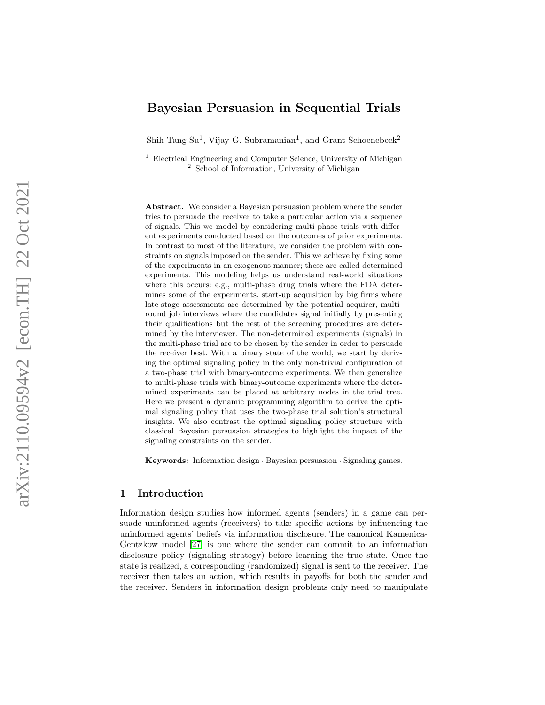# Bayesian Persuasion in Sequential Trials

Shih-Tang Su<sup>1</sup>, Vijay G. Subramanian<sup>1</sup>, and Grant Schoenebeck<sup>2</sup>

<sup>1</sup> Electrical Engineering and Computer Science, University of Michigan <sup>2</sup> School of Information, University of Michigan

Abstract. We consider a Bayesian persuasion problem where the sender tries to persuade the receiver to take a particular action via a sequence of signals. This we model by considering multi-phase trials with different experiments conducted based on the outcomes of prior experiments. In contrast to most of the literature, we consider the problem with constraints on signals imposed on the sender. This we achieve by fixing some of the experiments in an exogenous manner; these are called determined experiments. This modeling helps us understand real-world situations where this occurs: e.g., multi-phase drug trials where the FDA determines some of the experiments, start-up acquisition by big firms where late-stage assessments are determined by the potential acquirer, multiround job interviews where the candidates signal initially by presenting their qualifications but the rest of the screening procedures are determined by the interviewer. The non-determined experiments (signals) in the multi-phase trial are to be chosen by the sender in order to persuade the receiver best. With a binary state of the world, we start by deriving the optimal signaling policy in the only non-trivial configuration of a two-phase trial with binary-outcome experiments. We then generalize to multi-phase trials with binary-outcome experiments where the determined experiments can be placed at arbitrary nodes in the trial tree. Here we present a dynamic programming algorithm to derive the optimal signaling policy that uses the two-phase trial solution's structural insights. We also contrast the optimal signaling policy structure with classical Bayesian persuasion strategies to highlight the impact of the signaling constraints on the sender.

Keywords: Information design · Bayesian persuasion · Signaling games.

# 1 Introduction

Information design studies how informed agents (senders) in a game can persuade uninformed agents (receivers) to take specific actions by influencing the uninformed agents' beliefs via information disclosure. The canonical Kamenica-Gentzkow model [\[27\]](#page-27-0) is one where the sender can commit to an information disclosure policy (signaling strategy) before learning the true state. Once the state is realized, a corresponding (randomized) signal is sent to the receiver. The receiver then takes an action, which results in payoffs for both the sender and the receiver. Senders in information design problems only need to manipulate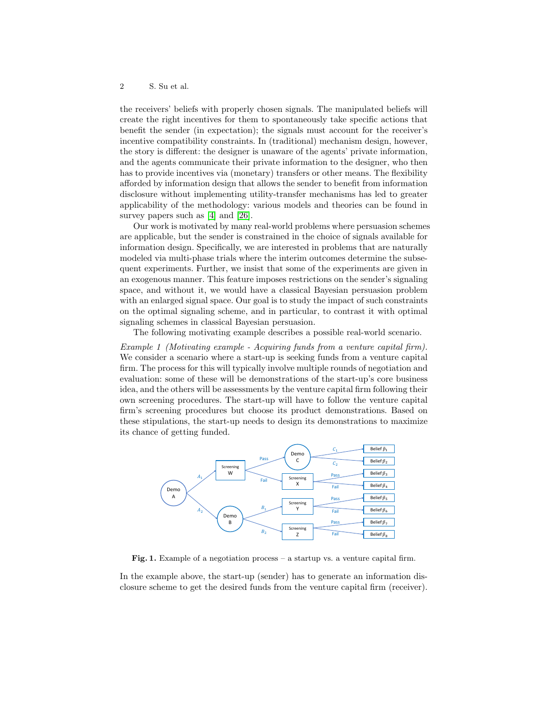the receivers' beliefs with properly chosen signals. The manipulated beliefs will create the right incentives for them to spontaneously take specific actions that benefit the sender (in expectation); the signals must account for the receiver's incentive compatibility constraints. In (traditional) mechanism design, however, the story is different: the designer is unaware of the agents' private information, and the agents communicate their private information to the designer, who then has to provide incentives via (monetary) transfers or other means. The flexibility afforded by information design that allows the sender to benefit from information disclosure without implementing utility-transfer mechanisms has led to greater applicability of the methodology: various models and theories can be found in survey papers such as [\[4\]](#page-26-0) and [\[26\]](#page-27-1).

Our work is motivated by many real-world problems where persuasion schemes are applicable, but the sender is constrained in the choice of signals available for information design. Specifically, we are interested in problems that are naturally modeled via multi-phase trials where the interim outcomes determine the subsequent experiments. Further, we insist that some of the experiments are given in an exogenous manner. This feature imposes restrictions on the sender's signaling space, and without it, we would have a classical Bayesian persuasion problem with an enlarged signal space. Our goal is to study the impact of such constraints on the optimal signaling scheme, and in particular, to contrast it with optimal signaling schemes in classical Bayesian persuasion.

The following motivating example describes a possible real-world scenario.

Example 1 (Motivating example - Acquiring funds from a venture capital firm). We consider a scenario where a start-up is seeking funds from a venture capital firm. The process for this will typically involve multiple rounds of negotiation and evaluation: some of these will be demonstrations of the start-up's core business idea, and the others will be assessments by the venture capital firm following their own screening procedures. The start-up will have to follow the venture capital firm's screening procedures but choose its product demonstrations. Based on these stipulations, the start-up needs to design its demonstrations to maximize its chance of getting funded.



<span id="page-1-0"></span>Fig. 1. Example of a negotiation process – a startup vs. a venture capital firm.

In the example above, the start-up (sender) has to generate an information disclosure scheme to get the desired funds from the venture capital firm (receiver).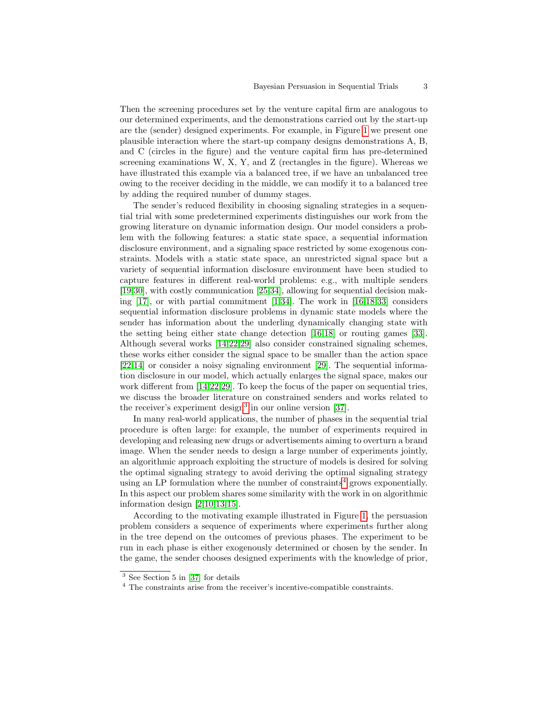Then the screening procedures set by the venture capital firm are analogous to our determined experiments, and the demonstrations carried out by the start-up are the (sender) designed experiments. For example, in Figure [1](#page-1-0) we present one plausible interaction where the start-up company designs demonstrations A, B, and C (circles in the figure) and the venture capital firm has pre-determined screening examinations W, X, Y, and Z (rectangles in the figure). Whereas we have illustrated this example via a balanced tree, if we have an unbalanced tree owing to the receiver deciding in the middle, we can modify it to a balanced tree by adding the required number of dummy stages.

The sender's reduced flexibility in choosing signaling strategies in a sequential trial with some predetermined experiments distinguishes our work from the growing literature on dynamic information design. Our model considers a problem with the following features: a static state space, a sequential information disclosure environment, and a signaling space restricted by some exogenous constraints. Models with a static state space, an unrestricted signal space but a variety of sequential information disclosure environment have been studied to capture features in different real-world problems: e.g., with multiple senders [\[19](#page-27-2)[,30\]](#page-27-3), with costly communication [\[25,](#page-27-4)[34\]](#page-28-0), allowing for sequential decision making  $[17]$ , or with partial commitment  $[1,34]$  $[1,34]$ . The work in  $[16,18,33]$  $[16,18,33]$  $[16,18,33]$  considers sequential information disclosure problems in dynamic state models where the sender has information about the underling dynamically changing state with the setting being either state change detection [\[16,](#page-27-6)[18\]](#page-27-7) or routing games [\[33\]](#page-28-1). Although several works [\[14,](#page-27-8)[22](#page-27-9)[,29\]](#page-27-10) also consider constrained signaling schemes, these works either consider the signal space to be smaller than the action space [\[22](#page-27-9)[,14\]](#page-27-8) or consider a noisy signaling environment [\[29\]](#page-27-10). The sequential information disclosure in our model, which actually enlarges the signal space, makes our work different from [\[14,](#page-27-8)[22,](#page-27-9)[29\]](#page-27-10). To keep the focus of the paper on sequential tries, we discuss the broader literature on constrained senders and works related to the receiver's experiment design<sup>[3](#page-2-0)</sup> in our online version  $[37]$ .

In many real-world applications, the number of phases in the sequential trial procedure is often large: for example, the number of experiments required in developing and releasing new drugs or advertisements aiming to overturn a brand image. When the sender needs to design a large number of experiments jointly, an algorithmic approach exploiting the structure of models is desired for solving the optimal signaling strategy to avoid deriving the optimal signaling strategy using an LP formulation where the number of constraints<sup>[4](#page-2-1)</sup> grows exponentially. In this aspect our problem shares some similarity with the work in on algorithmic information design [\[2,](#page-26-2)[10,](#page-27-11)[13](#page-27-12)[,15\]](#page-27-13).

According to the motivating example illustrated in Figure [1,](#page-1-0) the persuasion problem considers a sequence of experiments where experiments further along in the tree depend on the outcomes of previous phases. The experiment to be run in each phase is either exogenously determined or chosen by the sender. In the game, the sender chooses designed experiments with the knowledge of prior,

<span id="page-2-0"></span><sup>3</sup> See Section 5 in [\[37\]](#page-28-2) for details

<span id="page-2-1"></span><sup>4</sup> The constraints arise from the receiver's incentive-compatible constraints.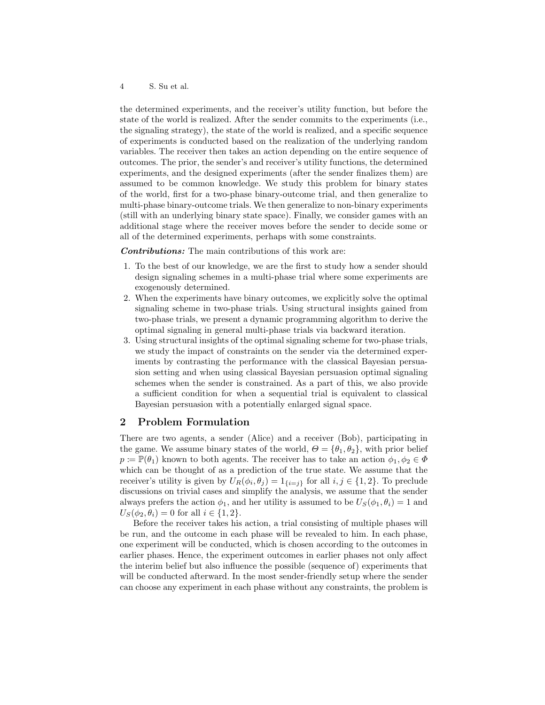the determined experiments, and the receiver's utility function, but before the state of the world is realized. After the sender commits to the experiments (i.e., the signaling strategy), the state of the world is realized, and a specific sequence of experiments is conducted based on the realization of the underlying random variables. The receiver then takes an action depending on the entire sequence of outcomes. The prior, the sender's and receiver's utility functions, the determined experiments, and the designed experiments (after the sender finalizes them) are assumed to be common knowledge. We study this problem for binary states of the world, first for a two-phase binary-outcome trial, and then generalize to multi-phase binary-outcome trials. We then generalize to non-binary experiments (still with an underlying binary state space). Finally, we consider games with an additional stage where the receiver moves before the sender to decide some or all of the determined experiments, perhaps with some constraints.

Contributions: The main contributions of this work are:

- 1. To the best of our knowledge, we are the first to study how a sender should design signaling schemes in a multi-phase trial where some experiments are exogenously determined.
- 2. When the experiments have binary outcomes, we explicitly solve the optimal signaling scheme in two-phase trials. Using structural insights gained from two-phase trials, we present a dynamic programming algorithm to derive the optimal signaling in general multi-phase trials via backward iteration.
- 3. Using structural insights of the optimal signaling scheme for two-phase trials, we study the impact of constraints on the sender via the determined experiments by contrasting the performance with the classical Bayesian persuasion setting and when using classical Bayesian persuasion optimal signaling schemes when the sender is constrained. As a part of this, we also provide a sufficient condition for when a sequential trial is equivalent to classical Bayesian persuasion with a potentially enlarged signal space.

# <span id="page-3-0"></span>2 Problem Formulation

There are two agents, a sender (Alice) and a receiver (Bob), participating in the game. We assume binary states of the world,  $\Theta = {\theta_1, \theta_2}$ , with prior belief  $p \coloneqq \mathbb{P}(\theta_1)$  known to both agents. The receiver has to take an action  $\phi_1, \phi_2 \in \Phi$ which can be thought of as a prediction of the true state. We assume that the receiver's utility is given by  $U_R(\phi_i, \theta_j) = 1_{\{i=j\}}$  for all  $i, j \in \{1, 2\}$ . To preclude discussions on trivial cases and simplify the analysis, we assume that the sender always prefers the action  $\phi_1$ , and her utility is assumed to be  $U_s(\phi_1, \theta_i) = 1$  and  $U_S(\phi_2, \theta_i) = 0$  for all  $i \in \{1, 2\}.$ 

Before the receiver takes his action, a trial consisting of multiple phases will be run, and the outcome in each phase will be revealed to him. In each phase, one experiment will be conducted, which is chosen according to the outcomes in earlier phases. Hence, the experiment outcomes in earlier phases not only affect the interim belief but also influence the possible (sequence of) experiments that will be conducted afterward. In the most sender-friendly setup where the sender can choose any experiment in each phase without any constraints, the problem is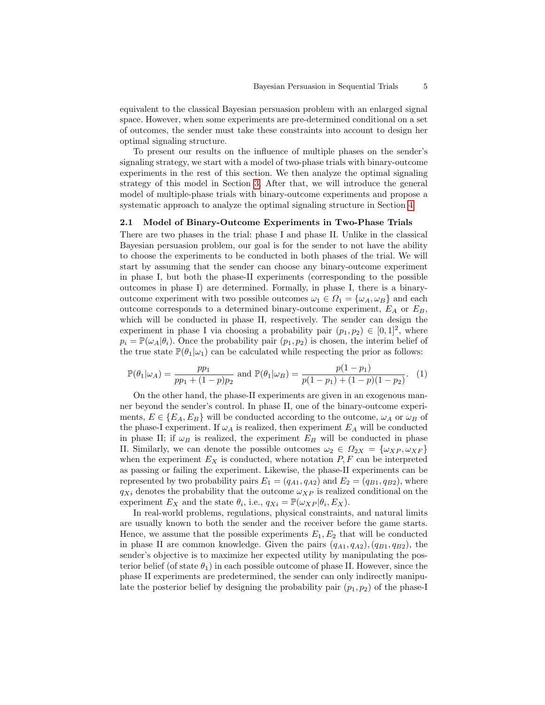equivalent to the classical Bayesian persuasion problem with an enlarged signal space. However, when some experiments are pre-determined conditional on a set of outcomes, the sender must take these constraints into account to design her optimal signaling structure.

To present our results on the influence of multiple phases on the sender's signaling strategy, we start with a model of two-phase trials with binary-outcome experiments in the rest of this section. We then analyze the optimal signaling strategy of this model in Section [3.](#page-6-0) After that, we will introduce the general model of multiple-phase trials with binary-outcome experiments and propose a systematic approach to analyze the optimal signaling structure in Section [4.](#page-13-0)

## <span id="page-4-0"></span>2.1 Model of Binary-Outcome Experiments in Two-Phase Trials

There are two phases in the trial: phase I and phase II. Unlike in the classical Bayesian persuasion problem, our goal is for the sender to not have the ability to choose the experiments to be conducted in both phases of the trial. We will start by assuming that the sender can choose any binary-outcome experiment in phase I, but both the phase-II experiments (corresponding to the possible outcomes in phase I) are determined. Formally, in phase I, there is a binaryoutcome experiment with two possible outcomes  $\omega_1 \in \Omega_1 = {\omega_A, \omega_B}$  and each outcome corresponds to a determined binary-outcome experiment,  $E_A$  or  $E_B$ , which will be conducted in phase II, respectively. The sender can design the experiment in phase I via choosing a probability pair  $(p_1, p_2) \in [0, 1]^2$ , where  $p_i = \mathbb{P}(\omega_A|\theta_i)$ . Once the probability pair  $(p_1, p_2)$  is chosen, the interim belief of the true state  $\mathbb{P}(\theta_1|\omega_1)$  can be calculated while respecting the prior as follows:

<span id="page-4-1"></span>
$$
\mathbb{P}(\theta_1|\omega_A) = \frac{pp_1}{pp_1 + (1-p)p_2} \text{ and } \mathbb{P}(\theta_1|\omega_B) = \frac{p(1-p_1)}{p(1-p_1) + (1-p)(1-p_2)}.
$$
 (1)

On the other hand, the phase-II experiments are given in an exogenous manner beyond the sender's control. In phase II, one of the binary-outcome experiments,  $E \in \{E_A, E_B\}$  will be conducted according to the outcome,  $\omega_A$  or  $\omega_B$  of the phase-I experiment. If  $\omega_A$  is realized, then experiment  $E_A$  will be conducted in phase II; if  $\omega_B$  is realized, the experiment  $E_B$  will be conducted in phase II. Similarly, we can denote the possible outcomes  $\omega_2 \in \Omega_{2X} = {\omega_{XP}, \omega_{XF}}$ when the experiment  $E_X$  is conducted, where notation  $P, F$  can be interpreted as passing or failing the experiment. Likewise, the phase-II experiments can be represented by two probability pairs  $E_1 = (q_{A1}, q_{A2})$  and  $E_2 = (q_{B1}, q_{B2})$ , where  $q_{Xi}$  denotes the probability that the outcome  $\omega_{XP}$  is realized conditional on the experiment  $E_X$  and the state  $\theta_i$ , i.e.,  $q_{Xi} = \mathbb{P}(\omega_{XP}|\theta_i, E_X)$ .

In real-world problems, regulations, physical constraints, and natural limits are usually known to both the sender and the receiver before the game starts. Hence, we assume that the possible experiments  $E_1, E_2$  that will be conducted in phase II are common knowledge. Given the pairs  $(q_{A1}, q_{A2}), (q_{B1}, q_{B2}),$  the sender's objective is to maximize her expected utility by manipulating the posterior belief (of state  $\theta_1$ ) in each possible outcome of phase II. However, since the phase II experiments are predetermined, the sender can only indirectly manipulate the posterior belief by designing the probability pair  $(p_1, p_2)$  of the phase-I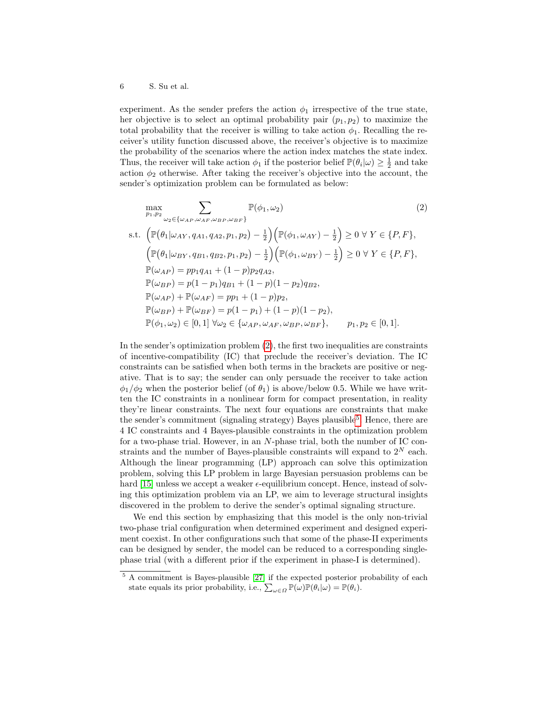experiment. As the sender prefers the action  $\phi_1$  irrespective of the true state, her objective is to select an optimal probability pair  $(p_1, p_2)$  to maximize the total probability that the receiver is willing to take action  $\phi_1$ . Recalling the receiver's utility function discussed above, the receiver's objective is to maximize the probability of the scenarios where the action index matches the state index. Thus, the receiver will take action  $\phi_1$  if the posterior belief  $\mathbb{P}(\theta_i|\omega) \geq \frac{1}{2}$  and take action  $\phi_2$  otherwise. After taking the receiver's objective into the account, the sender's optimization problem can be formulated as below:

<span id="page-5-0"></span>
$$
\max_{p_1, p_2} \sum_{\omega_2 \in \{\omega_{AP}, \omega_{AF}, \omega_{BP}, \omega_{BF}\}} \mathbb{P}(\phi_1, \omega_2)
$$
\n
$$
\text{s.t. } \left( \mathbb{P}(\theta_1 | \omega_{AY}, q_{A1}, q_{A2}, p_1, p_2) - \frac{1}{2} \right) \left( \mathbb{P}(\phi_1, \omega_{AY}) - \frac{1}{2} \right) \ge 0 \ \forall \ Y \in \{P, F\},
$$
\n
$$
\left( \mathbb{P}(\theta_1 | \omega_{BY}, q_{B1}, q_{B2}, p_1, p_2) - \frac{1}{2} \right) \left( \mathbb{P}(\phi_1, \omega_{BY}) - \frac{1}{2} \right) \ge 0 \ \forall \ Y \in \{P, F\},
$$
\n
$$
\mathbb{P}(\omega_{AP}) = pp_1q_{A1} + (1 - p)p_2q_{A2},
$$
\n
$$
\mathbb{P}(\omega_{BP}) = p(1 - p_1)q_{B1} + (1 - p)(1 - p_2)q_{B2},
$$
\n
$$
\mathbb{P}(\omega_{AP}) + \mathbb{P}(\omega_{AF}) = pp_1 + (1 - p)p_2,
$$
\n
$$
\mathbb{P}(\omega_{BP}) + \mathbb{P}(\omega_{BF}) = p(1 - p_1) + (1 - p)(1 - p_2),
$$
\n
$$
\mathbb{P}(\phi_1, \omega_2) \in [0, 1] \ \forall \omega_2 \in \{\omega_{AP}, \omega_{AF}, \omega_{BP}, \omega_{BF}\}, \qquad p_1, p_2 \in [0, 1].
$$
\n
$$
(2)
$$

In the sender's optimization problem [\(2\)](#page-5-0), the first two inequalities are constraints of incentive-compatibility (IC) that preclude the receiver's deviation. The IC constraints can be satisfied when both terms in the brackets are positive or negative. That is to say; the sender can only persuade the receiver to take action  $\phi_1/\phi_2$  when the posterior belief (of  $\theta_1$ ) is above/below 0.5. While we have written the IC constraints in a nonlinear form for compact presentation, in reality they're linear constraints. The next four equations are constraints that make the sender's commitment (signaling strategy) Bayes plausible<sup>[5](#page-5-1)</sup>. Hence, there are 4 IC constraints and 4 Bayes-plausible constraints in the optimization problem for a two-phase trial. However, in an N-phase trial, both the number of IC constraints and the number of Bayes-plausible constraints will expand to  $2^N$  each. Although the linear programming (LP) approach can solve this optimization problem, solving this LP problem in large Bayesian persuasion problems can be hard  $[15]$  unless we accept a weaker  $\epsilon$ -equilibrium concept. Hence, instead of solving this optimization problem via an LP, we aim to leverage structural insights discovered in the problem to derive the sender's optimal signaling structure.

We end this section by emphasizing that this model is the only non-trivial two-phase trial configuration when determined experiment and designed experiment coexist. In other configurations such that some of the phase-II experiments can be designed by sender, the model can be reduced to a corresponding singlephase trial (with a different prior if the experiment in phase-I is determined).

<span id="page-5-1"></span><sup>5</sup> A commitment is Bayes-plausible [\[27\]](#page-27-0) if the expected posterior probability of each state equals its prior probability, i.e.,  $\sum_{\omega \in \Omega} \mathbb{P}(\omega) \mathbb{P}(\theta_i | \omega) = \mathbb{P}(\theta_i)$ .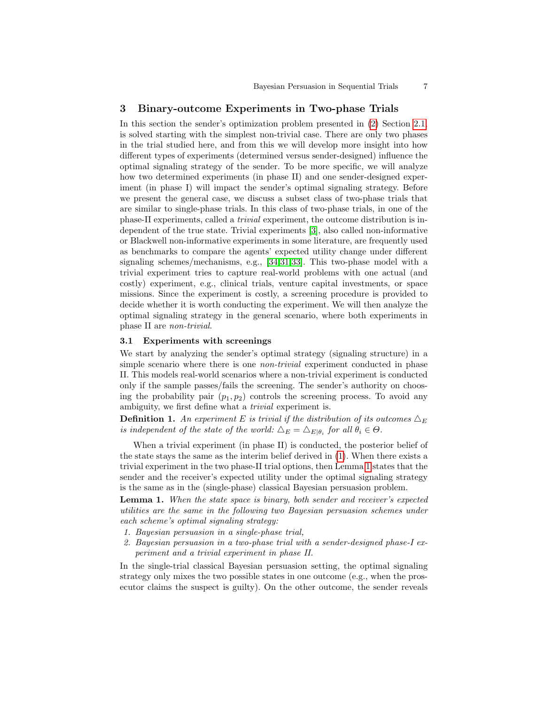# <span id="page-6-0"></span>3 Binary-outcome Experiments in Two-phase Trials

In this section the sender's optimization problem presented in [\(2\)](#page-5-0) Section [2.1,](#page-4-0) is solved starting with the simplest non-trivial case. There are only two phases in the trial studied here, and from this we will develop more insight into how different types of experiments (determined versus sender-designed) influence the optimal signaling strategy of the sender. To be more specific, we will analyze how two determined experiments (in phase II) and one sender-designed experiment (in phase I) will impact the sender's optimal signaling strategy. Before we present the general case, we discuss a subset class of two-phase trials that are similar to single-phase trials. In this class of two-phase trials, in one of the phase-II experiments, called a trivial experiment, the outcome distribution is independent of the true state. Trivial experiments [\[3\]](#page-26-3), also called non-informative or Blackwell non-informative experiments in some literature, are frequently used as benchmarks to compare the agents' expected utility change under different signaling schemes/mechanisms, e.g., [\[34,](#page-28-0)[31,](#page-27-14)[33\]](#page-28-1). This two-phase model with a trivial experiment tries to capture real-world problems with one actual (and costly) experiment, e.g., clinical trials, venture capital investments, or space missions. Since the experiment is costly, a screening procedure is provided to decide whether it is worth conducting the experiment. We will then analyze the optimal signaling strategy in the general scenario, where both experiments in phase II are non-trivial.

### <span id="page-6-2"></span>3.1 Experiments with screenings

We start by analyzing the sender's optimal strategy (signaling structure) in a simple scenario where there is one *non-trivial* experiment conducted in phase II. This models real-world scenarios where a non-trivial experiment is conducted only if the sample passes/fails the screening. The sender's authority on choosing the probability pair  $(p_1, p_2)$  controls the screening process. To avoid any ambiguity, we first define what a trivial experiment is.

**Definition 1.** An experiment E is trivial if the distribution of its outcomes  $\Delta_E$ is independent of the state of the world:  $\Delta_E = \Delta_{E|\theta_i}$  for all  $\theta_i \in \Theta$ .

When a trivial experiment (in phase II) is conducted, the posterior belief of the state stays the same as the interim belief derived in [\(1\)](#page-4-1). When there exists a trivial experiment in the two phase-II trial options, then Lemma [1](#page-6-1) states that the sender and the receiver's expected utility under the optimal signaling strategy is the same as in the (single-phase) classical Bayesian persuasion problem.

Lemma 1. When the state space is binary, both sender and receiver's expected utilities are the same in the following two Bayesian persuasion schemes under each scheme's optimal signaling strategy:

- <span id="page-6-1"></span>1. Bayesian persuasion in a single-phase trial,
- 2. Bayesian persuasion in a two-phase trial with a sender-designed phase-I experiment and a trivial experiment in phase II.

In the single-trial classical Bayesian persuasion setting, the optimal signaling strategy only mixes the two possible states in one outcome (e.g., when the prosecutor claims the suspect is guilty). On the other outcome, the sender reveals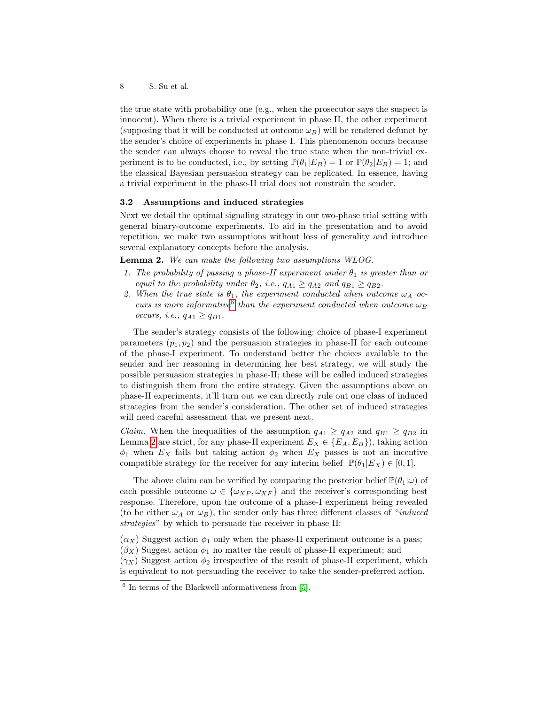the true state with probability one (e.g., when the prosecutor says the suspect is innocent). When there is a trivial experiment in phase II, the other experiment (supposing that it will be conducted at outcome  $\omega_B$ ) will be rendered defunct by the sender's choice of experiments in phase I. This phenomenon occurs because the sender can always choose to reveal the true state when the non-trivial experiment is to be conducted, i.e., by setting  $\mathbb{P}(\theta_1|E_B) = 1$  or  $\mathbb{P}(\theta_2|E_B) = 1$ ; and the classical Bayesian persuasion strategy can be replicated. In essence, having a trivial experiment in the phase-II trial does not constrain the sender.

# <span id="page-7-2"></span>3.2 Assumptions and induced strategies

Next we detail the optimal signaling strategy in our two-phase trial setting with general binary-outcome experiments. To aid in the presentation and to avoid repetition, we make two assumptions without loss of generality and introduce several explanatory concepts before the analysis.

Lemma 2. We can make the following two assumptions WLOG.

- <span id="page-7-1"></span>1. The probability of passing a phase-II experiment under  $\theta_1$  is greater than or equal to the probability under  $\theta_2$ , i.e.,  $q_{A1} \geq q_{A2}$  and  $q_{B1} \geq q_{B2}$ .
- <span id="page-7-3"></span>2. When the true state is  $\theta_1$ , the experiment conducted when outcome  $\omega_A$  occurs is more informative than the experiment conducted when outcome  $\omega_B$ occurs, i.e.,  $q_{A1} \geq q_{B1}$ .

The sender's strategy consists of the following: choice of phase-I experiment parameters  $(p_1, p_2)$  and the persuasion strategies in phase-II for each outcome of the phase-I experiment. To understand better the choices available to the sender and her reasoning in determining her best strategy, we will study the possible persuasion strategies in phase-II; these will be called induced strategies to distinguish them from the entire strategy. Given the assumptions above on phase-II experiments, it'll turn out we can directly rule out one class of induced strategies from the sender's consideration. The other set of induced strategies will need careful assessment that we present next.

*Claim.* When the inequalities of the assumption  $q_{A1} \ge q_{A2}$  and  $q_{B1} \ge q_{B2}$  in Lemma [2](#page-7-1) are strict, for any phase-II experiment  $E_X \in \{E_A, E_B\}$ , taking action  $\phi_1$  when  $E_X$  fails but taking action  $\phi_2$  when  $E_X$  passes is not an incentive compatible strategy for the receiver for any interim belief  $\mathbb{P}(\theta_1|E_X) \in [0,1]$ .

The above claim can be verified by comparing the posterior belief  $\mathbb{P}(\theta_1|\omega)$  of each possible outcome  $\omega \in {\{\omega_{XP}, \omega_{XF}\}}$  and the receiver's corresponding best response. Therefore, upon the outcome of a phase-I experiment being revealed (to be either  $\omega_A$  or  $\omega_B$ ), the sender only has three different classes of "*induced* strategies" by which to persuade the receiver in phase II:

 $(\alpha_X)$  Suggest action  $\phi_1$  only when the phase-II experiment outcome is a pass;  $(\beta_X)$  Suggest action  $\phi_1$  no matter the result of phase-II experiment; and  $(\gamma_X)$  Suggest action  $\phi_2$  irrespective of the result of phase-II experiment, which is equivalent to not persuading the receiver to take the sender-preferred action.

<span id="page-7-0"></span><sup>6</sup> In terms of the Blackwell informativeness from [\[5\]](#page-26-4).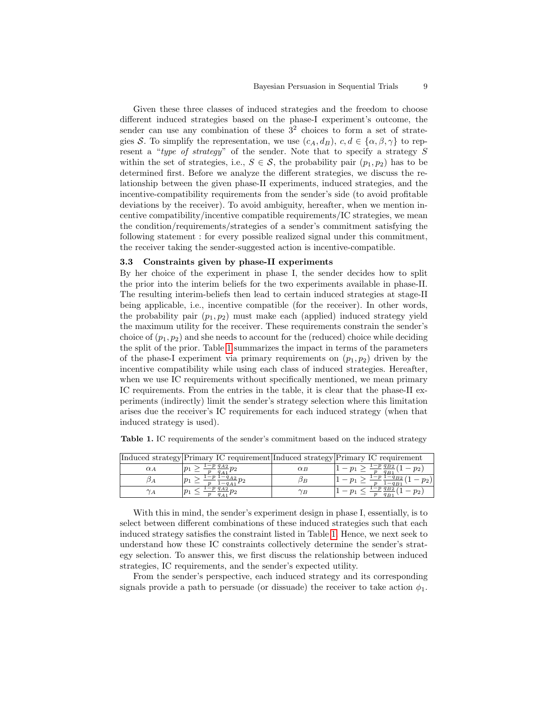Given these three classes of induced strategies and the freedom to choose different induced strategies based on the phase-I experiment's outcome, the sender can use any combination of these  $3<sup>2</sup>$  choices to form a set of strategies S. To simplify the representation, we use  $(c_A, d_B)$ ,  $c, d \in \{\alpha, \beta, \gamma\}$  to represent a "type of strategy" of the sender. Note that to specify a strategy S within the set of strategies, i.e.,  $S \in \mathcal{S}$ , the probability pair  $(p_1, p_2)$  has to be determined first. Before we analyze the different strategies, we discuss the relationship between the given phase-II experiments, induced strategies, and the incentive-compatibility requirements from the sender's side (to avoid profitable deviations by the receiver). To avoid ambiguity, hereafter, when we mention incentive compatibility/incentive compatible requirements/IC strategies, we mean the condition/requirements/strategies of a sender's commitment satisfying the following statement : for every possible realized signal under this commitment, the receiver taking the sender-suggested action is incentive-compatible.

# <span id="page-8-1"></span>3.3 Constraints given by phase-II experiments

By her choice of the experiment in phase I, the sender decides how to split the prior into the interim beliefs for the two experiments available in phase-II. The resulting interim-beliefs then lead to certain induced strategies at stage-II being applicable, i.e., incentive compatible (for the receiver). In other words, the probability pair  $(p_1, p_2)$  must make each (applied) induced strategy yield the maximum utility for the receiver. These requirements constrain the sender's choice of  $(p_1, p_2)$  and she needs to account for the (reduced) choice while deciding the split of the prior. Table [1](#page-8-0) summarizes the impact in terms of the parameters of the phase-I experiment via primary requirements on  $(p_1, p_2)$  driven by the incentive compatibility while using each class of induced strategies. Hereafter, when we use IC requirements without specifically mentioned, we mean primary IC requirements. From the entries in the table, it is clear that the phase-II experiments (indirectly) limit the sender's strategy selection where this limitation arises due the receiver's IC requirements for each induced strategy (when that induced strategy is used).

|                 |                                   |            | Induced strategy Primary IC requirement Induced strategy Primary IC requirement |
|-----------------|-----------------------------------|------------|---------------------------------------------------------------------------------|
| $\alpha_A$      | $-p q_{A2} \overline{q}$<br>$p_1$ | $\alpha_B$ | $-pq_{B2}$<br>$p_2$<br>$q_B$                                                    |
| $\mathcal{D}$ 1 |                                   | JВ         | $v_{2}$<br>$- q_{B1}$ .                                                         |
| A               | $p_1$                             | $\gamma_B$ | $-pq_{B2}$<br>$p_2$                                                             |

<span id="page-8-0"></span>Table 1. IC requirements of the sender's commitment based on the induced strategy

With this in mind, the sender's experiment design in phase I, essentially, is to select between different combinations of these induced strategies such that each induced strategy satisfies the constraint listed in Table [1.](#page-8-0) Hence, we next seek to understand how these IC constraints collectively determine the sender's strategy selection. To answer this, we first discuss the relationship between induced strategies, IC requirements, and the sender's expected utility.

From the sender's perspective, each induced strategy and its corresponding signals provide a path to persuade (or dissuade) the receiver to take action  $\phi_1$ .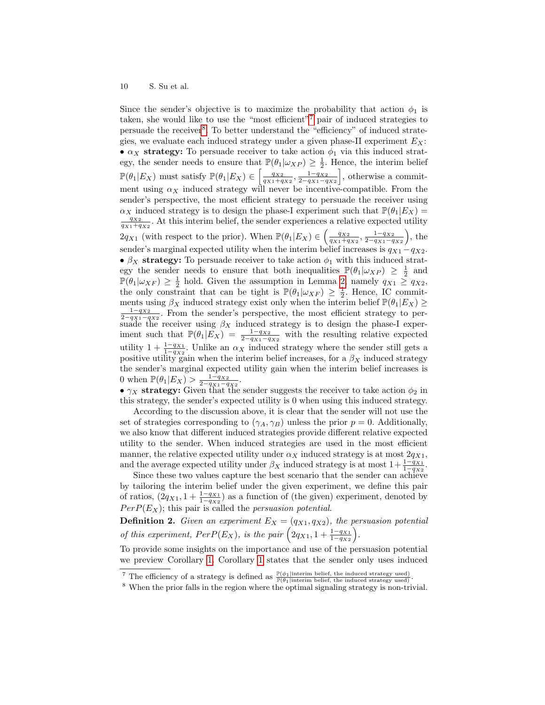Since the sender's objective is to maximize the probability that action  $\phi_1$  is taken, she would like to use the "most efficient"[7](#page-9-0) pair of induced strategies to persuade the receiver<sup>[8](#page-9-1)</sup>. To better understand the "efficiency" of induced strategies, we evaluate each induced strategy under a given phase-II experiment  $E_X$ : •  $\alpha_X$  strategy: To persuade receiver to take action  $\phi_1$  via this induced strategy, the sender needs to ensure that  $\mathbb{P}(\theta_1|\omega_{XP}) \geq \frac{1}{2}$ . Hence, the interim belief  $\mathbb{P}(\theta_1|E_X)$  must satisfy  $\mathbb{P}(\theta_1|E_X) \in \left[\frac{q_{X2}}{q_{X1}+q_{X2}}, \frac{1-q_{X2}}{2-q_{X1}-q_{X2}}\right]$ , otherwise a commitment using  $\alpha_X$  induced strategy will never be incentive-compatible. From the sender's perspective, the most efficient strategy to persuade the receiver using  $\alpha_X$  induced strategy is to design the phase-I experiment such that  $\mathbb{P}(\theta_1|E_X)$  =  $\frac{q_{X2}}{q_{X1}+q_{X2}}$ . At this interim belief, the sender experiences a relative expected utility  $2q_{X1}$  (with respect to the prior). When  $\mathbb{P}(\theta_1|E_X) \in \left(\frac{q_{X2}}{q_{X1}+q_{X2}}, \frac{1-q_{X2}}{2-q_{X1}-q_{X2}}\right)$ , the sender's marginal expected utility when the interim belief increases is  $q_{X1} - q_{X2}$ . •  $\beta_X$  strategy: To persuade receiver to take action  $\phi_1$  with this induced strategy the sender needs to ensure that both inequalities  $\mathbb{P}(\theta_1|\omega_{XP}) \geq \frac{1}{2}$  and  $\mathbb{P}(\theta_1|\omega_{XF}) \geq \frac{1}{2}$  hold. Given the assumption in Lemma [2,](#page-7-1) namely  $q_{X1} \geq q_{X2}$ , the only constraint that can be tight is  $\mathbb{P}(\theta_1 | \omega_{XF}) \geq \frac{1}{2}$ . Hence, IC commitments using  $\beta_X$  induced strategy exist only when the interim belief  $\mathbb{P}(\theta_1|E_X) \geq$  $\frac{1-q_{X2}}{2-q_{X1}-q_{X2}}$ . From the sender's perspective, the most efficient strategy to persuade the receiver using  $\beta_X$  induced strategy is to design the phase-I experiment such that  $\mathbb{P}(\theta_1 | E_X) = \frac{1-q_{X2}}{2-q_{X1}-q_{X2}}$  with the resulting relative expected utility  $1 + \frac{1-q_{X1}}{1-q_{X2}}$ . Unlike an  $\alpha_X$  induced strategy where the sender still gets a positive utility gain when the interim belief increases, for a  $\beta_X$  induced strategy the sender's marginal expected utility gain when the interim belief increases is 0 when  $\mathbb{P}(\theta_1|E_X) > \frac{1-q_{X2}}{2-q_{X1}-q_{X2}}$ .

•  $\gamma_X$  strategy: Given that the sender suggests the receiver to take action  $\phi_2$  in this strategy, the sender's expected utility is 0 when using this induced strategy.

According to the discussion above, it is clear that the sender will not use the set of strategies corresponding to  $(\gamma_A, \gamma_B)$  unless the prior  $p = 0$ . Additionally, we also know that different induced strategies provide different relative expected utility to the sender. When induced strategies are used in the most efficient manner, the relative expected utility under  $\alpha_X$  induced strategy is at most  $2q_{X_1}$ , and the average expected utility under  $\beta_X$  induced strategy is at most  $1+\frac{1-q_{X1}}{1-q_{X2}}$ .

Since these two values capture the best scenario that the sender can achieve by tailoring the interim belief under the given experiment, we define this pair of ratios,  $(2q_{X1}, 1 + \frac{1-q_{X1}}{1-q_{X2}})$  as a function of (the given) experiment, denoted by  $PerP(E_X)$ ; this pair is called the *persuasion potential*.

**Definition 2.** Given an experiment  $E_X = (q_{X1}, q_{X2})$ , the persuasion potential of this experiment,  $PerP(E_X)$ , is the pair  $(2q_{X1}, 1 + \frac{1-q_{X1}}{1-q_{X2}})$ .

To provide some insights on the importance and use of the persuasion potential we preview Corollary [1.](#page-12-0) Corollary [1](#page-12-0) states that the sender only uses induced

<span id="page-9-0"></span><sup>&</sup>lt;sup>7</sup> The efficiency of a strategy is defined as  $\frac{\mathbb{P}(\phi_1|\text{interim belief, the induced strategy used})}{\mathbb{P}(\theta_1|\text{interim belief, the induced strategy used})}$ .

<span id="page-9-1"></span><sup>8</sup> When the prior falls in the region where the optimal signaling strategy is non-trivial.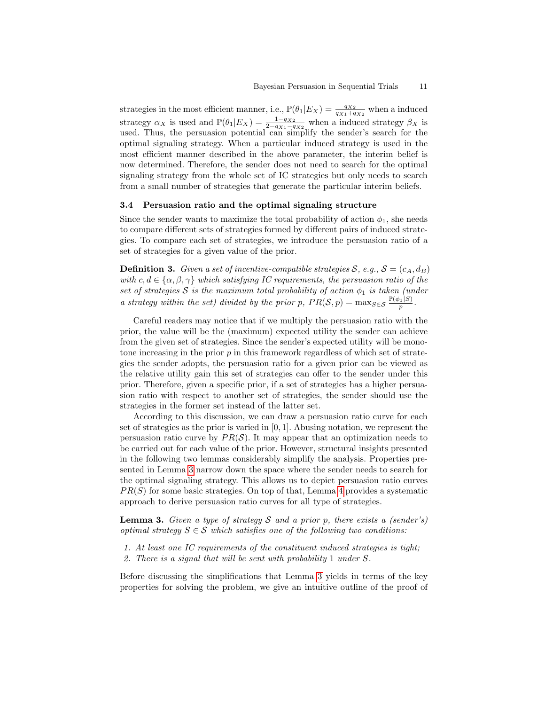strategies in the most efficient manner, i.e.,  $\mathbb{P}(\theta_1|E_X) = \frac{q_{X2}}{q_{X1}+q_{X2}}$  when a induced strategy  $\alpha_X$  is used and  $\mathbb{P}(\theta_1|E_X) = \frac{1-q_{X2}}{2-q_{X1}-q_{X2}}$  when a induced strategy  $\beta_X$  is used. Thus, the persuasion potential can simplify the sender's search for the optimal signaling strategy. When a particular induced strategy is used in the most efficient manner described in the above parameter, the interim belief is now determined. Therefore, the sender does not need to search for the optimal signaling strategy from the whole set of IC strategies but only needs to search from a small number of strategies that generate the particular interim beliefs.

# <span id="page-10-1"></span>3.4 Persuasion ratio and the optimal signaling structure

Since the sender wants to maximize the total probability of action  $\phi_1$ , she needs to compare different sets of strategies formed by different pairs of induced strategies. To compare each set of strategies, we introduce the persuasion ratio of a set of strategies for a given value of the prior.

<span id="page-10-2"></span>**Definition 3.** Given a set of incentive-compatible strategies  $S$ , e.g.,  $S = (c_A, d_B)$ with c,  $d \in {\alpha, \beta, \gamma}$  which satisfying IC requirements, the persuasion ratio of the set of strategies S is the maximum total probability of action  $\phi_1$  is taken (under a strategy within the set) divided by the prior p,  $PR(S, p) = \max_{S \in S} \frac{\mathbb{P}(\phi_1|S)}{p}$ .

Careful readers may notice that if we multiply the persuasion ratio with the prior, the value will be the (maximum) expected utility the sender can achieve from the given set of strategies. Since the sender's expected utility will be monotone increasing in the prior  $p$  in this framework regardless of which set of strategies the sender adopts, the persuasion ratio for a given prior can be viewed as the relative utility gain this set of strategies can offer to the sender under this prior. Therefore, given a specific prior, if a set of strategies has a higher persuasion ratio with respect to another set of strategies, the sender should use the strategies in the former set instead of the latter set.

According to this discussion, we can draw a persuasion ratio curve for each set of strategies as the prior is varied in  $[0, 1]$ . Abusing notation, we represent the persuasion ratio curve by  $PR(S)$ . It may appear that an optimization needs to be carried out for each value of the prior. However, structural insights presented in the following two lemmas considerably simplify the analysis. Properties presented in Lemma [3](#page-10-0) narrow down the space where the sender needs to search for the optimal signaling strategy. This allows us to depict persuasion ratio curves  $PR(S)$  for some basic strategies. On top of that, Lemma [4](#page-11-0) provides a systematic approach to derive persuasion ratio curves for all type of strategies.

<span id="page-10-0"></span>**Lemma 3.** Given a type of strategy S and a prior p, there exists a (sender's) optimal strategy  $S \in \mathcal{S}$  which satisfies one of the following two conditions:

- 1. At least one IC requirements of the constituent induced strategies is tight;
- 2. There is a signal that will be sent with probability 1 under S.

Before discussing the simplifications that Lemma [3](#page-10-0) yields in terms of the key properties for solving the problem, we give an intuitive outline of the proof of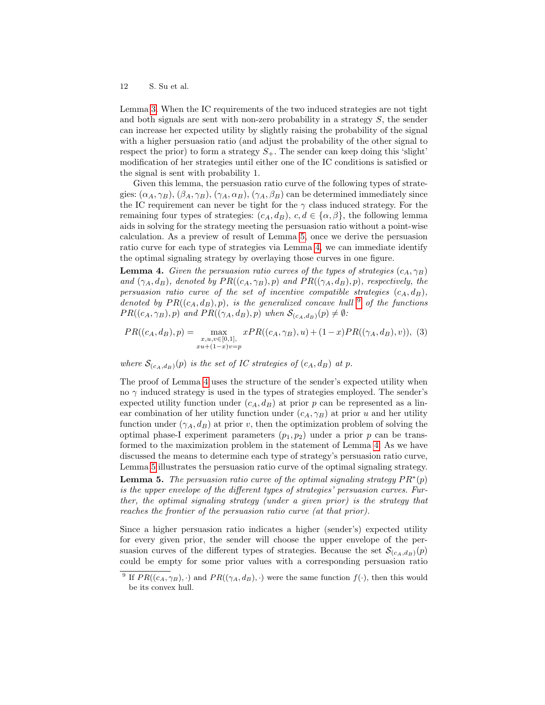Lemma [3.](#page-10-0) When the IC requirements of the two induced strategies are not tight and both signals are sent with non-zero probability in a strategy S, the sender can increase her expected utility by slightly raising the probability of the signal with a higher persuasion ratio (and adjust the probability of the other signal to respect the prior) to form a strategy  $S_+$ . The sender can keep doing this 'slight' modification of her strategies until either one of the IC conditions is satisfied or the signal is sent with probability 1.

Given this lemma, the persuasion ratio curve of the following types of strategies:  $(\alpha_A, \gamma_B)$ ,  $(\beta_A, \gamma_B)$ ,  $(\gamma_A, \alpha_B)$ ,  $(\gamma_A, \beta_B)$  can be determined immediately since the IC requirement can never be tight for the  $\gamma$  class induced strategy. For the remaining four types of strategies:  $(c_A, d_B), c, d \in \{\alpha, \beta\}$ , the following lemma aids in solving for the strategy meeting the persuasion ratio without a point-wise calculation. As a preview of result of Lemma [5,](#page-11-1) once we derive the persuasion ratio curve for each type of strategies via Lemma [4,](#page-11-0) we can immediate identify the optimal signaling strategy by overlaying those curves in one figure.

<span id="page-11-0"></span>**Lemma 4.** Given the persuasion ratio curves of the types of strategies  $(c_A, \gamma_B)$ and  $(\gamma_A, d_B)$ , denoted by  $PR((c_A, \gamma_B), p)$  and  $PR((\gamma_A, d_B), p)$ , respectively, the persuasion ratio curve of the set of incentive compatible strategies  $(c_A, d_B)$ , denoted by  $PR((c_A, d_B), p)$ , is the generalized concave hull <sup>[9](#page-11-2)</sup> of the functions  $PR((c_A, \gamma_B), p)$  and  $PR((\gamma_A, d_B), p)$  when  $\mathcal{S}_{(c_A, d_B)}(p) \neq \emptyset$ :

<span id="page-11-3"></span>
$$
PR((c_A, d_B), p) = \max_{\substack{x, u, v \in [0, 1], \\ xu + (1 - x)v = p}} xPR((c_A, \gamma_B), u) + (1 - x)PR((\gamma_A, d_B), v)), (3)
$$

where  $\mathcal{S}_{(c_A,d_B)}(p)$  is the set of IC strategies of  $(c_A, d_B)$  at p.

The proof of Lemma [4](#page-11-0) uses the structure of the sender's expected utility when no  $\gamma$  induced strategy is used in the types of strategies employed. The sender's expected utility function under  $(c_A, d_B)$  at prior p can be represented as a linear combination of her utility function under  $(c_A, \gamma_B)$  at prior u and her utility function under  $(\gamma_A, d_B)$  at prior v, then the optimization problem of solving the optimal phase-I experiment parameters  $(p_1, p_2)$  under a prior p can be transformed to the maximization problem in the statement of Lemma [4.](#page-11-0) As we have discussed the means to determine each type of strategy's persuasion ratio curve, Lemma [5](#page-11-1) illustrates the persuasion ratio curve of the optimal signaling strategy.

<span id="page-11-1"></span>**Lemma 5.** The persuasion ratio curve of the optimal signaling strategy  $PR^*(p)$ is the upper envelope of the different types of strategies' persuasion curves. Further, the optimal signaling strategy (under a given prior) is the strategy that reaches the frontier of the persuasion ratio curve (at that prior).

Since a higher persuasion ratio indicates a higher (sender's) expected utility for every given prior, the sender will choose the upper envelope of the persuasion curves of the different types of strategies. Because the set  $\mathcal{S}_{(c_A,d_B)}(p)$ could be empty for some prior values with a corresponding persuasion ratio

<span id="page-11-2"></span><sup>&</sup>lt;sup>9</sup> If  $PR((c_A, \gamma_B), \cdot)$  and  $PR((\gamma_A, d_B), \cdot)$  were the same function  $f(\cdot)$ , then this would be its convex hull.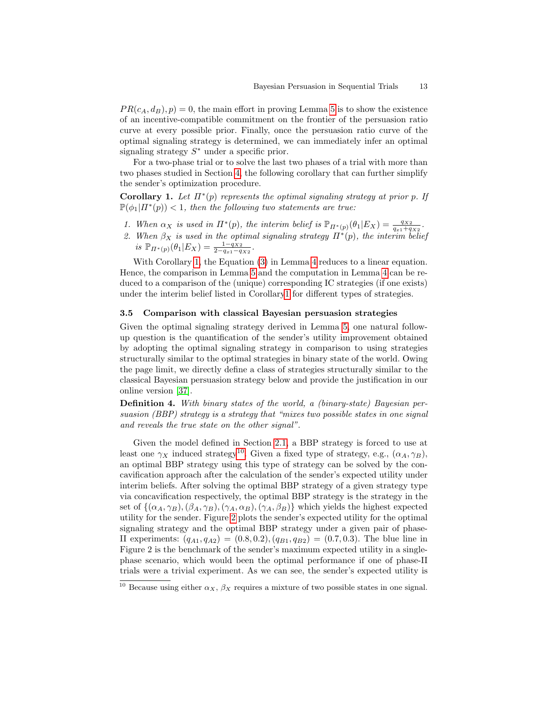$PR(c_A, d_B), p) = 0$ , the main effort in proving Lemma [5](#page-11-1) is to show the existence of an incentive-compatible commitment on the frontier of the persuasion ratio curve at every possible prior. Finally, once the persuasion ratio curve of the optimal signaling strategy is determined, we can immediately infer an optimal signaling strategy  $S^*$  under a specific prior.

For a two-phase trial or to solve the last two phases of a trial with more than two phases studied in Section [4,](#page-13-0) the following corollary that can further simplify the sender's optimization procedure.

<span id="page-12-0"></span>Corollary 1. Let  $\Pi^*(p)$  represents the optimal signaling strategy at prior p. If  $\mathbb{P}(\phi_1 | \Pi^*(p)) < 1$ , then the following two statements are true:

- 1. When  $\alpha_X$  is used in  $\Pi^*(p)$ , the interim belief is  $\mathbb{P}_{\Pi^*(p)}(\theta_1|E_X) = \frac{q_{X2}}{q_{x1}+q_{X2}}$ .
- 2. When  $\beta_X$  is used in the optimal signaling strategy  $\Pi^*(p)$ , the interim belief is  $\mathbb{P}_{\Pi^*(p)}(\theta_1|E_X) = \frac{1-q_{X2}}{2-q_{x1}-q_{X2}}$ .

With Corollary [1,](#page-12-0) the Equation [\(3\)](#page-11-3) in Lemma [4](#page-11-0) reduces to a linear equation. Hence, the comparison in Lemma [5](#page-11-1) and the computation in Lemma [4](#page-11-0) can be reduced to a comparison of the (unique) corresponding IC strategies (if one exists) under the interim belief listed in Corollar[y1](#page-12-0) for different types of strategies.

### 3.5 Comparison with classical Bayesian persuasion strategies

Given the optimal signaling strategy derived in Lemma [5,](#page-11-1) one natural followup question is the quantification of the sender's utility improvement obtained by adopting the optimal signaling strategy in comparison to using strategies structurally similar to the optimal strategies in binary state of the world. Owing the page limit, we directly define a class of strategies structurally similar to the classical Bayesian persuasion strategy below and provide the justification in our online version [\[37\]](#page-28-2).

Definition 4. With binary states of the world, a (binary-state) Bayesian persuasion (BBP) strategy is a strategy that "mixes two possible states in one signal and reveals the true state on the other signal".

Given the model defined in Section [2.1,](#page-4-0) a BBP strategy is forced to use at least one  $\gamma_X$  induced strategy<sup>[10](#page-12-1)</sup>. Given a fixed type of strategy, e.g.,  $(\alpha_A, \gamma_B)$ , an optimal BBP strategy using this type of strategy can be solved by the concavification approach after the calculation of the sender's expected utility under interim beliefs. After solving the optimal BBP strategy of a given strategy type via concavification respectively, the optimal BBP strategy is the strategy in the set of  $\{(\alpha_A, \gamma_B),(\beta_A, \gamma_B),(\gamma_A, \alpha_B),(\gamma_A, \beta_B)\}\$  which yields the highest expected utility for the sender. Figure [2](#page-13-1) plots the sender's expected utility for the optimal signaling strategy and the optimal BBP strategy under a given pair of phase-II experiments:  $(q_{A1}, q_{A2}) = (0.8, 0.2), (q_{B1}, q_{B2}) = (0.7, 0.3)$ . The blue line in Figure 2 is the benchmark of the sender's maximum expected utility in a singlephase scenario, which would been the optimal performance if one of phase-II trials were a trivial experiment. As we can see, the sender's expected utility is

<span id="page-12-1"></span><sup>&</sup>lt;sup>10</sup> Because using either  $\alpha_X$ ,  $\beta_X$  requires a mixture of two possible states in one signal.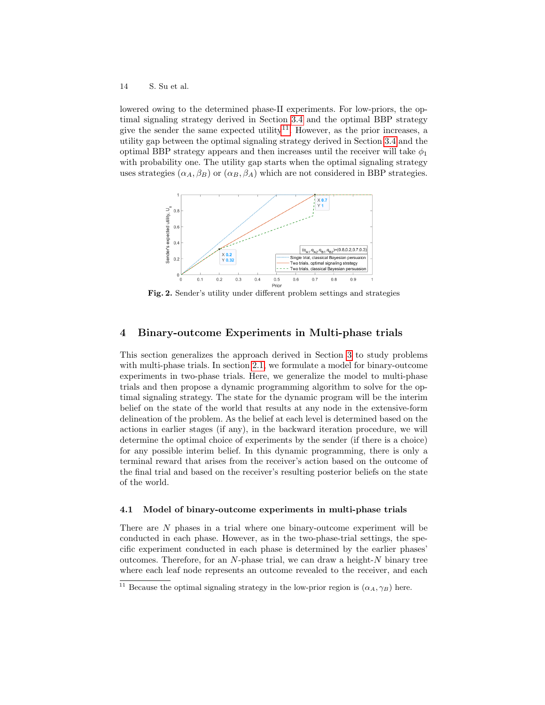lowered owing to the determined phase-II experiments. For low-priors, the optimal signaling strategy derived in Section [3.4](#page-10-1) and the optimal BBP strategy give the sender the same expected utility<sup>[11](#page-13-2)</sup>. However, as the prior increases, a utility gap between the optimal signaling strategy derived in Section [3.4](#page-10-1) and the optimal BBP strategy appears and then increases until the receiver will take  $\phi_1$ with probability one. The utility gap starts when the optimal signaling strategy uses strategies  $(\alpha_A, \beta_B)$  or  $(\alpha_B, \beta_A)$  which are not considered in BBP strategies.



<span id="page-13-1"></span>Fig. 2. Sender's utility under different problem settings and strategies

# <span id="page-13-0"></span>4 Binary-outcome Experiments in Multi-phase trials

This section generalizes the approach derived in Section [3](#page-6-0) to study problems with multi-phase trials. In section [2.1,](#page-4-0) we formulate a model for binary-outcome experiments in two-phase trials. Here, we generalize the model to multi-phase trials and then propose a dynamic programming algorithm to solve for the optimal signaling strategy. The state for the dynamic program will be the interim belief on the state of the world that results at any node in the extensive-form delineation of the problem. As the belief at each level is determined based on the actions in earlier stages (if any), in the backward iteration procedure, we will determine the optimal choice of experiments by the sender (if there is a choice) for any possible interim belief. In this dynamic programming, there is only a terminal reward that arises from the receiver's action based on the outcome of the final trial and based on the receiver's resulting posterior beliefs on the state of the world.

#### 4.1 Model of binary-outcome experiments in multi-phase trials

There are N phases in a trial where one binary-outcome experiment will be conducted in each phase. However, as in the two-phase-trial settings, the specific experiment conducted in each phase is determined by the earlier phases' outcomes. Therefore, for an  $N$ -phase trial, we can draw a height- $N$  binary tree where each leaf node represents an outcome revealed to the receiver, and each

<span id="page-13-2"></span><sup>&</sup>lt;sup>11</sup> Because the optimal signaling strategy in the low-prior region is  $(\alpha_A, \gamma_B)$  here.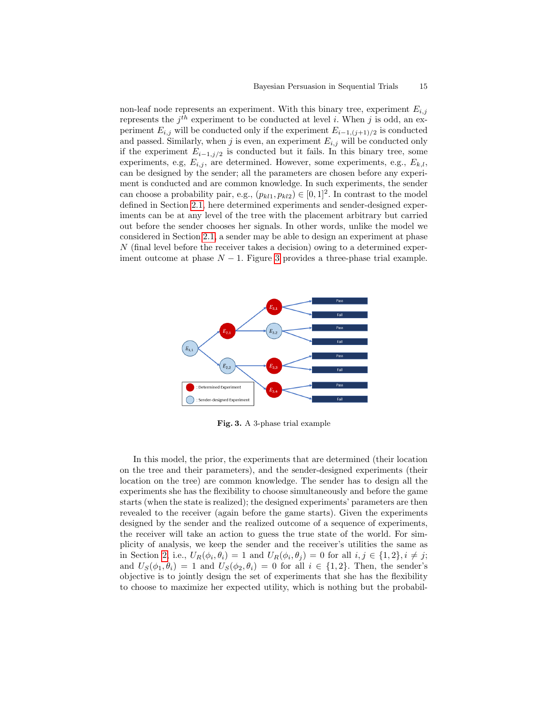non-leaf node represents an experiment. With this binary tree, experiment  $E_{i,j}$ represents the  $j<sup>th</sup>$  experiment to be conducted at level *i*. When *j* is odd, an experiment  $E_{i,j}$  will be conducted only if the experiment  $E_{i-1,(j+1)/2}$  is conducted and passed. Similarly, when j is even, an experiment  $E_{i,j}$  will be conducted only if the experiment  $E_{i-1,j/2}$  is conducted but it fails. In this binary tree, some experiments, e.g,  $E_{i,j}$ , are determined. However, some experiments, e.g.,  $E_{k,l}$ , can be designed by the sender; all the parameters are chosen before any experiment is conducted and are common knowledge. In such experiments, the sender can choose a probability pair, e.g.,  $(p_{kl1}, p_{kl2}) \in [0, 1]^2$ . In contrast to the model defined in Section [2.1,](#page-4-0) here determined experiments and sender-designed experiments can be at any level of the tree with the placement arbitrary but carried out before the sender chooses her signals. In other words, unlike the model we considered in Section [2.1,](#page-4-0) a sender may be able to design an experiment at phase N (final level before the receiver takes a decision) owing to a determined experiment outcome at phase  $N-1$ . Figure [3](#page-14-0) provides a three-phase trial example.



<span id="page-14-0"></span>Fig. 3. A 3-phase trial example

In this model, the prior, the experiments that are determined (their location on the tree and their parameters), and the sender-designed experiments (their location on the tree) are common knowledge. The sender has to design all the experiments she has the flexibility to choose simultaneously and before the game starts (when the state is realized); the designed experiments' parameters are then revealed to the receiver (again before the game starts). Given the experiments designed by the sender and the realized outcome of a sequence of experiments, the receiver will take an action to guess the true state of the world. For simplicity of analysis, we keep the sender and the receiver's utilities the same as in Section [2,](#page-3-0) i.e.,  $U_R(\phi_i, \theta_i) = 1$  and  $U_R(\phi_i, \theta_j) = 0$  for all  $i, j \in \{1, 2\}, i \neq j$ ; and  $U_S(\phi_1, \theta_i) = 1$  and  $U_S(\phi_2, \theta_i) = 0$  for all  $i \in \{1, 2\}$ . Then, the sender's objective is to jointly design the set of experiments that she has the flexibility to choose to maximize her expected utility, which is nothing but the probabil-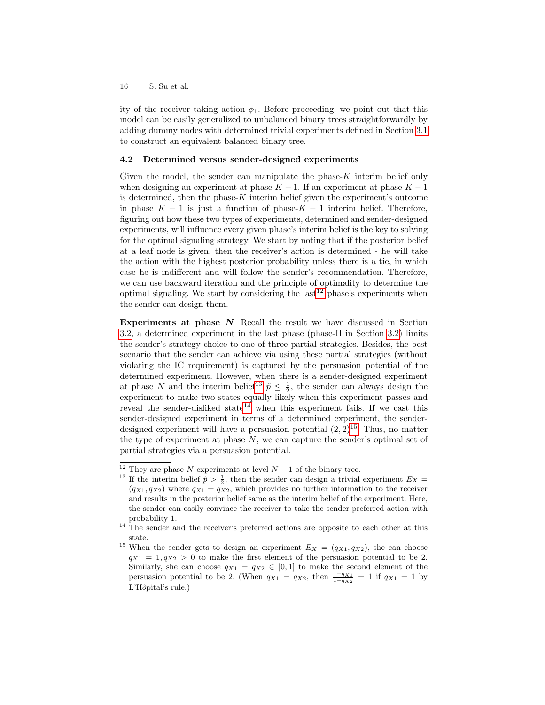ity of the receiver taking action  $\phi_1$ . Before proceeding, we point out that this model can be easily generalized to unbalanced binary trees straightforwardly by adding dummy nodes with determined trivial experiments defined in Section [3.1](#page-6-2) to construct an equivalent balanced binary tree.

#### 4.2 Determined versus sender-designed experiments

Given the model, the sender can manipulate the phase- $K$  interim belief only when designing an experiment at phase  $K - 1$ . If an experiment at phase  $K - 1$ is determined, then the phase- $K$  interim belief given the experiment's outcome in phase  $K - 1$  is just a function of phase- $K - 1$  interim belief. Therefore, figuring out how these two types of experiments, determined and sender-designed experiments, will influence every given phase's interim belief is the key to solving for the optimal signaling strategy. We start by noting that if the posterior belief at a leaf node is given, then the receiver's action is determined - he will take the action with the highest posterior probability unless there is a tie, in which case he is indifferent and will follow the sender's recommendation. Therefore, we can use backward iteration and the principle of optimality to determine the optimal signaling. We start by considering the last<sup>[12](#page-15-0)</sup> phase's experiments when the sender can design them.

Experiments at phase  $N$  Recall the result we have discussed in Section [3.2,](#page-7-2) a determined experiment in the last phase (phase-II in Section [3.2\)](#page-7-2) limits the sender's strategy choice to one of three partial strategies. Besides, the best scenario that the sender can achieve via using these partial strategies (without violating the IC requirement) is captured by the persuasion potential of the determined experiment. However, when there is a sender-designed experiment at phase N and the interim belief<sup>[13](#page-15-1)</sup>  $\tilde{p} \leq \frac{1}{2}$ , the sender can always design the experiment to make two states equally likely when this experiment passes and reveal the sender-disliked state<sup>[14](#page-15-2)</sup> when this experiment fails. If we cast this sender-designed experiment in terms of a determined experiment, the senderdesigned experiment will have a persuasion potential  $(2, 2)^{15}$  $(2, 2)^{15}$  $(2, 2)^{15}$ . Thus, no matter the type of experiment at phase  $N$ , we can capture the sender's optimal set of partial strategies via a persuasion potential.

<span id="page-15-0"></span><sup>&</sup>lt;sup>12</sup> They are phase- $N$  experiments at level  $N-1$  of the binary tree.

<span id="page-15-1"></span><sup>&</sup>lt;sup>13</sup> If the interim belief  $\tilde{p} > \frac{1}{2}$ , then the sender can design a trivial experiment  $E_X$  =  $(q_{X1}, q_{X2})$  where  $q_{X1} = q_{X2}$ , which provides no further information to the receiver and results in the posterior belief same as the interim belief of the experiment. Here, the sender can easily convince the receiver to take the sender-preferred action with probability 1.

<span id="page-15-2"></span><sup>&</sup>lt;sup>14</sup> The sender and the receiver's preferred actions are opposite to each other at this state.

<span id="page-15-3"></span><sup>&</sup>lt;sup>15</sup> When the sender gets to design an experiment  $E_X = (q_{X1}, q_{X2})$ , she can choose  $q_{X1} = 1, q_{X2} > 0$  to make the first element of the persuasion potential to be 2. Similarly, she can choose  $q_{X1} = q_{X2} \in [0,1]$  to make the second element of the persuasion potential to be 2. (When  $q_{X1} = q_{X2}$ , then  $\frac{1-q_{X1}}{1-q_{X2}} = 1$  if  $q_{X1} = 1$  by L'Hôpital's rule.)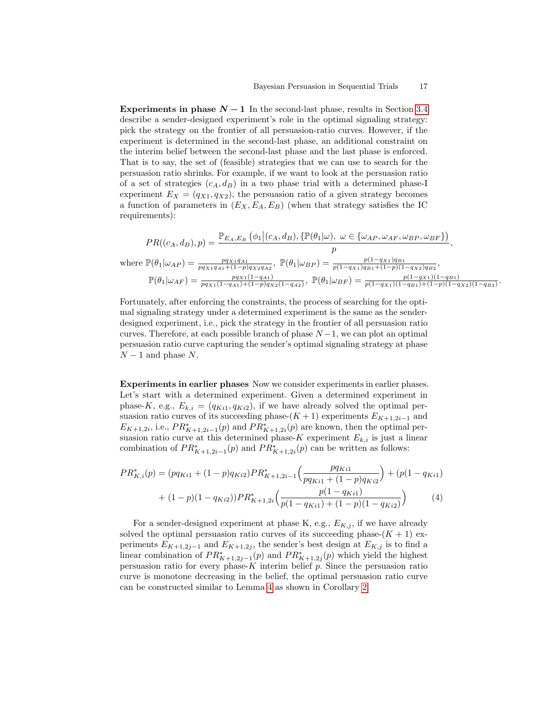Experiments in phase  $N-1$  In the second-last phase, results in Section [3.4](#page-10-1) describe a sender-designed experiment's role in the optimal signaling strategy: pick the strategy on the frontier of all persuasion-ratio curves. However, if the experiment is determined in the second-last phase, an additional constraint on the interim belief between the second-last phase and the last phase is enforced. That is to say, the set of (feasible) strategies that we can use to search for the persuasion ratio shrinks. For example, if we want to look at the persuasion ratio of a set of strategies  $(c_A, d_B)$  in a two phase trial with a determined phase-I experiment  $E_X = (q_{X1}, q_{X2})$ , the persuasion ratio of a given strategy becomes a function of parameters in  $(E_X, E_A, E_B)$  (when that strategy satisfies the IC requirements):

$$
PR((c_A, d_B), p) = \frac{\mathbb{P}_{E_A, E_B} \left( \phi_1 | (c_A, d_B), \{ \mathbb{P}(\theta_1 | \omega), \ \omega \in \{ \omega_{AP}, \omega_{AF}, \omega_{BP}, \omega_{BF} \} \right)}{p},
$$
  
where  $\mathbb{P}(\theta_1 | \omega_{AP}) = \frac{pq_{X1}q_{A1}}{pq_{X1}q_{A1} + (1-p)q_{X2}q_{A2}}, \ \mathbb{P}(\theta_1 | \omega_{BP}) = \frac{p(1-q_{X1})q_{B1}}{p(1-q_{X1})q_{B1} + (1-p)(1-q_{X2})q_{B2}},$   
 $\mathbb{P}(\theta_1 | \omega_{AF}) = \frac{pq_{X1}(1-q_{A1})}{pq_{X1}(1-q_{A1}) + (1-p)q_{X2}(1-q_{A2})}, \ \mathbb{P}(\theta_1 | \omega_{BF}) = \frac{p(1-q_{X1})(1-q_{B1})}{p(1-q_{X1})(1-q_{B1}) + (1-p)(1-q_{X2})(1-q_{B2})}$ 

.

Fortunately, after enforcing the constraints, the process of searching for the optimal signaling strategy under a determined experiment is the same as the senderdesigned experiment, i.e., pick the strategy in the frontier of all persuasion ratio curves. Therefore, at each possible branch of phase  $N-1$ , we can plot an optimal persuasion ratio curve capturing the sender's optimal signaling strategy at phase  $N-1$  and phase N.

Experiments in earlier phases Now we consider experiments in earlier phases. Let's start with a determined experiment. Given a determined experiment in phase-K, e.g.,  $E_{k,i} = (q_{Ki1}, q_{Ki2})$ , if we have already solved the optimal persuasion ratio curves of its succeeding phase- $(K + 1)$  experiments  $E_{K+1,2i-1}$  and  $E_{K+1,2i}$ , i.e.,  $PR_{K+1,2i-1}^*(p)$  and  $PR_{K+1,2i}^*(p)$  are known, then the optimal persuasion ratio curve at this determined phase-K experiment  $E_{k,i}$  is just a linear combination of  $PR_{K+1,2i-1}^*(p)$  and  $PR_{K+1,2i}^*(p)$  can be written as follows:

<span id="page-16-1"></span>
$$
PR_{K,i}^*(p) = (pq_{Ki1} + (1-p)q_{Ki2})PR_{K+1,2i-1}^*(\frac{pq_{Ki1}}{pq_{Ki1} + (1-p)q_{Ki2}}) + (p(1-q_{Ki1}) + (1-p)(1-q_{Ki2}))PR_{K+1,2i}^*(\frac{p(1-q_{Ki1})}{p(1-q_{Ki1}) + (1-p)(1-q_{Ki2})})
$$
(4)

<span id="page-16-0"></span>For a sender-designed experiment at phase K, e.g.,  $E_{K,j}$ , if we have already solved the optimal persuasion ratio curves of its succeeding phase- $(K + 1)$  experiments  $E_{K+1,2j-1}$  and  $E_{K+1,2j}$ , the sender's best design at  $E_{K,j}$  is to find a linear combination of  $PR_{K+1,2j-1}^*(p)$  and  $PR_{K+1,2j}^*(p)$  which yield the highest persuasion ratio for every phase-K interim belief  $p$ . Since the persuasion ratio curve is monotone decreasing in the belief, the optimal persuasion ratio curve can be constructed similar to Lemma [4](#page-11-0) as shown in Corollary [2.](#page-16-0)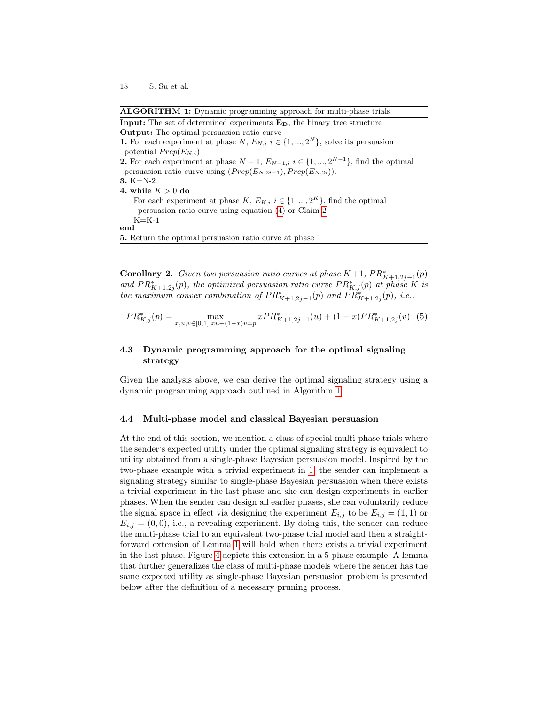<span id="page-17-0"></span>

| <b>ALGORITHM 1:</b> Dynamic programming approach for multi-phase trials                               |
|-------------------------------------------------------------------------------------------------------|
| <b>Input:</b> The set of determined experiments $E_D$ , the binary tree structure                     |
| <b>Output:</b> The optimal persuasion ratio curve                                                     |
| <b>1.</b> For each experiment at phase $N$ , $E_{N,i}$ $i \in \{1, , 2^N\}$ , solve its persuasion    |
| potential $Prep(E_{N,i})$                                                                             |
| <b>2.</b> For each experiment at phase $N-1$ , $E_{N-1,i}$ $i \in \{1,,2^{N-1}\}\$ , find the optimal |
| persuasion ratio curve using $(Prep(E_{N,2i-1}), Prep(E_{N,2i}))$ .                                   |
| 3. $K=N-2$                                                                                            |
| 4. while $K>0$ do                                                                                     |
| For each experiment at phase $K, E_{K,i}$ $i \in \{1, , 2^K\}$ , find the optimal                     |
| persuasion ratio curve using equation $(4)$ or Claim 2                                                |
| $K=K-1$                                                                                               |
| $_{\rm end}$                                                                                          |
| <b>5.</b> Return the optimal persuasion ratio curve at phase 1                                        |
|                                                                                                       |
|                                                                                                       |

**Corollary 2.** Given two persuasion ratio curves at phase  $K+1$ ,  $PR_{K+1,2j-1}^*(p)$ and  $PR_{K+1,2j}^*(p)$ , the optimized persuasion ratio curve  $PR_{K,j}^*(p)$  at phase K is the maximum convex combination of  $PR_{K+1,2j-1}^*(p)$  and  $PR_{K+1,2j}^*(p)$ , i.e.,

$$
PR_{K,j}^*(p) = \max_{x,u,v \in [0,1],xu + (1-x)v = p} xPR_{K+1,2j-1}^*(u) + (1-x)PR_{K+1,2j}^*(v) \tag{5}
$$

# 4.3 Dynamic programming approach for the optimal signaling strategy

Given the analysis above, we can derive the optimal signaling strategy using a dynamic programming approach outlined in Algorithm [1.](#page-17-0)

#### 4.4 Multi-phase model and classical Bayesian persuasion

At the end of this section, we mention a class of special multi-phase trials where the sender's expected utility under the optimal signaling strategy is equivalent to utility obtained from a single-phase Bayesian persuasion model. Inspired by the two-phase example with a trivial experiment in [1,](#page-6-1) the sender can implement a signaling strategy similar to single-phase Bayesian persuasion when there exists a trivial experiment in the last phase and she can design experiments in earlier phases. When the sender can design all earlier phases, she can voluntarily reduce the signal space in effect via designing the experiment  $E_{i,j}$  to be  $E_{i,j} = (1,1)$  or  $E_{i,j} = (0,0)$ , i.e., a revealing experiment. By doing this, the sender can reduce the multi-phase trial to an equivalent two-phase trial model and then a straightforward extension of Lemma [1](#page-6-1) will hold when there exists a trivial experiment in the last phase. Figure [4](#page-18-0) depicts this extension in a 5-phase example. A lemma that further generalizes the class of multi-phase models where the sender has the same expected utility as single-phase Bayesian persuasion problem is presented below after the definition of a necessary pruning process.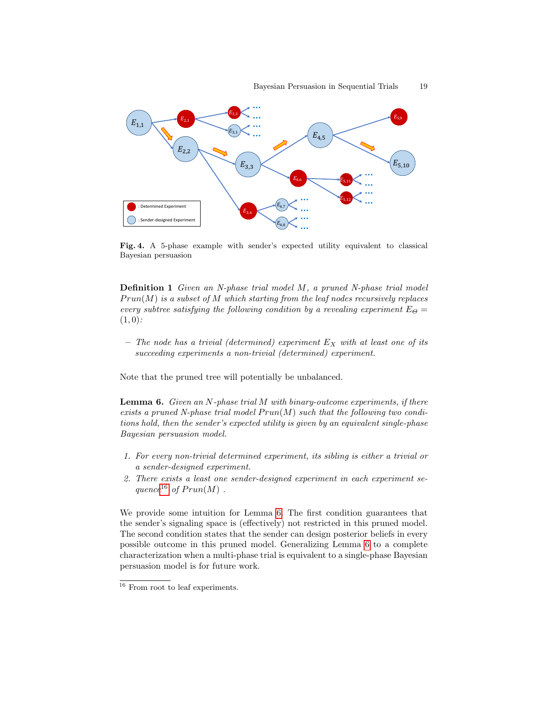

<span id="page-18-0"></span>Fig. 4. A 5-phase example with sender's expected utility equivalent to classical Bayesian persuasion

Definition 1 Given an N-phase trial model M, a pruned N-phase trial model  $Prun(M)$  is a subset of M which starting from the leaf nodes recursively replaces every subtree satisfying the following condition by a revealing experiment  $E_{\Theta} =$  $(1, 0)$ :

– The node has a trivial (determined) experiment  $E_X$  with at least one of its succeeding experiments a non-trivial (determined) experiment.

<span id="page-18-2"></span>Note that the pruned tree will potentially be unbalanced.

**Lemma 6.** Given an N-phase trial M with binary-outcome experiments, if there exists a pruned N-phase trial model  $Prun(M)$  such that the following two conditions hold, then the sender's expected utility is given by an equivalent single-phase Bayesian persuasion model.

- 1. For every non-trivial determined experiment, its sibling is either a trivial or a sender-designed experiment.
- 2. There exists a least one sender-designed experiment in each experiment se-quence<sup>[16](#page-18-1)</sup> of  $Prun(M)$ .

We provide some intuition for Lemma [6.](#page-18-2) The first condition guarantees that the sender's signaling space is (effectively) not restricted in this pruned model. The second condition states that the sender can design posterior beliefs in every possible outcome in this pruned model. Generalizing Lemma [6](#page-18-2) to a complete characterization when a multi-phase trial is equivalent to a single-phase Bayesian persuasion model is for future work.

<span id="page-18-1"></span> $\overline{^{16}}$  From root to leaf experiments.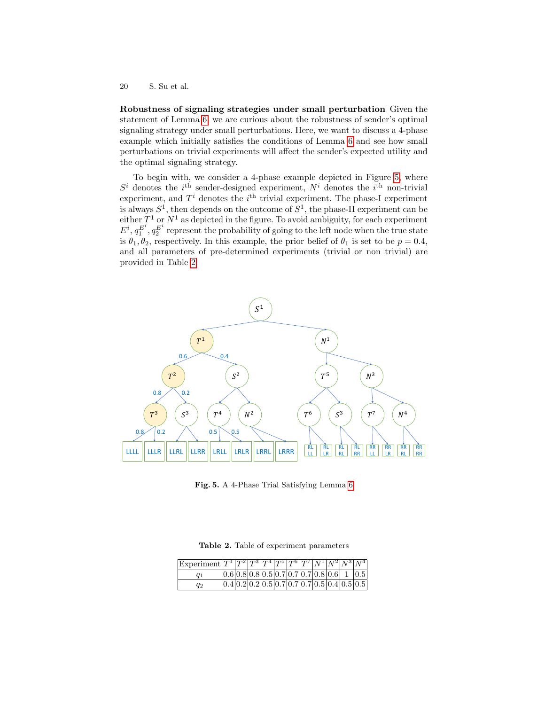Robustness of signaling strategies under small perturbation Given the statement of Lemma [6,](#page-18-2) we are curious about the robustness of sender's optimal signaling strategy under small perturbations. Here, we want to discuss a 4-phase example which initially satisfies the conditions of Lemma [6](#page-18-2) and see how small perturbations on trivial experiments will affect the sender's expected utility and the optimal signaling strategy.

To begin with, we consider a 4-phase example depicted in Figure [5,](#page-19-0) where  $S<sup>i</sup>$  denotes the i<sup>th</sup> sender-designed experiment,  $N<sup>i</sup>$  denotes the i<sup>th</sup> non-trivial experiment, and  $T<sup>i</sup>$  denotes the  $i<sup>th</sup>$  trivial experiment. The phase-I experiment is always  $S^1$ , then depends on the outcome of  $S^1$ , the phase-II experiment can be either  $T^1$  or  $N^1$  as depicted in the figure. To avoid ambiguity, for each experiment  $E^i, q_1^{E^i}, q_2^{E^i}$  represent the probability of going to the left node when the true state is  $\theta_1, \theta_2$ , respectively. In this example, the prior belief of  $\theta_1$  is set to be  $p = 0.4$ , and all parameters of pre-determined experiments (trivial or non trivial) are provided in Table [2.](#page-19-1)



<span id="page-19-0"></span>Fig. 5. A 4-Phase Trial Satisfying Lemma [6](#page-18-2)

<span id="page-19-1"></span>Table 2. Table of experiment parameters

| $ \text{Experiment} T^1 T^2 T^3 T^4 T^5 T^6 T^7 N^1 N^2 N^3 N^4 $ |  |  |  |  |  |                                                |
|-------------------------------------------------------------------|--|--|--|--|--|------------------------------------------------|
| $q_1$                                                             |  |  |  |  |  | $ 0.6 0.8 0.8 0.5 0.7 0.7 0.7 0.8 0.6 1 0.5 $  |
| $q_2$                                                             |  |  |  |  |  | $[0.4]0.2]0.2]0.5]0.7]0.7]0.7]0.5]0.4]0.5]0.5$ |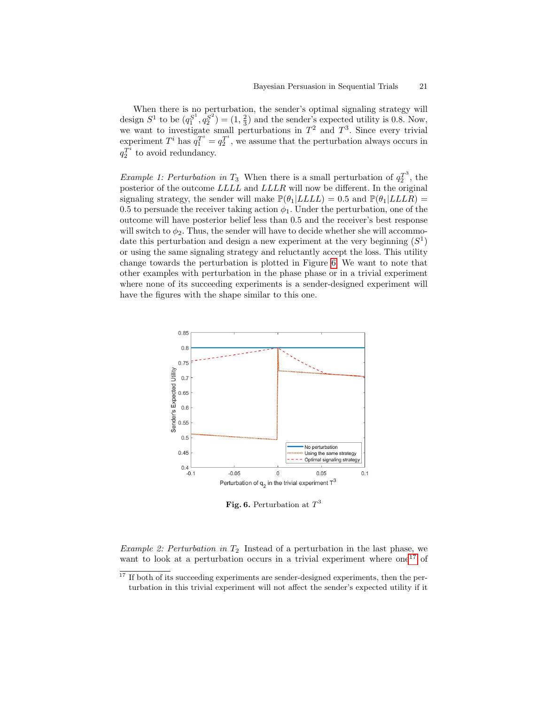When there is no perturbation, the sender's optimal signaling strategy will design  $S^1$  to be  $(q_1^{S^1}, q_2^{S^2}) = (1, \frac{2}{3})$  and the sender's expected utility is 0.8. Now, we want to investigate small perturbations in  $T^2$  and  $T^3$ . Since every trivial experiment  $T^i$  has  $q_1^{T^i} = q_2^{T^i}$ , we assume that the perturbation always occurs in  $q_2^{T^i}$  to avoid redundancy.

*Example 1: Perturbation in*  $T_3$  When there is a small perturbation of  $q_2^{T^3}$ , the posterior of the outcome LLLL and LLLR will now be different. In the original signaling strategy, the sender will make  $\mathbb{P}(\theta_1|LLLL) = 0.5$  and  $\mathbb{P}(\theta_1|LLL) =$ 0.5 to persuade the receiver taking action  $\phi_1$ . Under the perturbation, one of the outcome will have posterior belief less than 0.5 and the receiver's best response will switch to  $\phi_2$ . Thus, the sender will have to decide whether she will accommodate this perturbation and design a new experiment at the very beginning  $(S^1)$ or using the same signaling strategy and reluctantly accept the loss. This utility change towards the perturbation is plotted in Figure [6.](#page-20-0) We want to note that other examples with perturbation in the phase phase or in a trivial experiment where none of its succeeding experiments is a sender-designed experiment will have the figures with the shape similar to this one.



<span id="page-20-0"></span>Fig. 6. Perturbation at  $T^3$ 

Example 2: Perturbation in  $T_2$  Instead of a perturbation in the last phase, we want to look at a perturbation occurs in a trivial experiment where  $one^{17}$  $one^{17}$  $one^{17}$  of

<span id="page-20-1"></span> $17$  If both of its succeeding experiments are sender-designed experiments, then the perturbation in this trivial experiment will not affect the sender's expected utility if it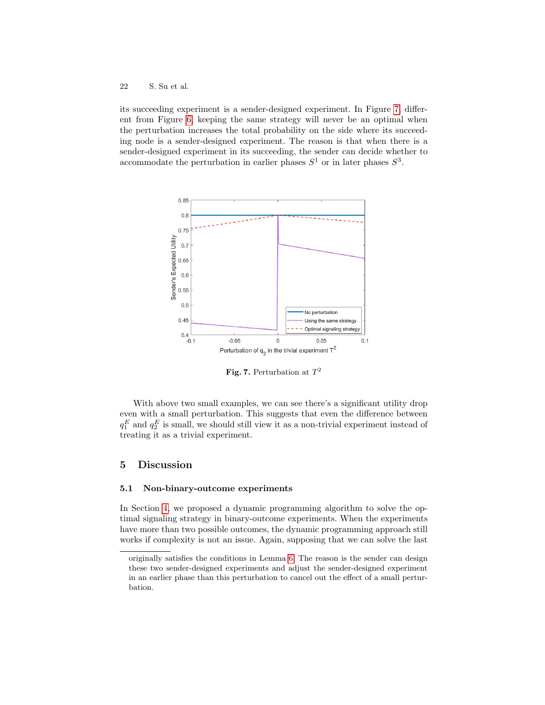its succeeding experiment is a sender-designed experiment. In Figure [7,](#page-21-0) different from Figure [6,](#page-20-0) keeping the same strategy will never be an optimal when the perturbation increases the total probability on the side where its succeeding node is a sender-designed experiment. The reason is that when there is a sender-designed experiment in its succeeding, the sender can decide whether to accommodate the perturbation in earlier phases  $S^1$  or in later phases  $S^3$ .



<span id="page-21-0"></span>Fig. 7. Perturbation at  $T^2$ 

With above two small examples, we can see there's a significant utility drop even with a small perturbation. This suggests that even the difference between  $q_1^E$  and  $q_2^E$  is small, we should still view it as a non-trivial experiment instead of treating it as a trivial experiment.

# 5 Discussion

#### 5.1 Non-binary-outcome experiments

In Section [4,](#page-13-0) we proposed a dynamic programming algorithm to solve the optimal signaling strategy in binary-outcome experiments. When the experiments have more than two possible outcomes, the dynamic programming approach still works if complexity is not an issue. Again, supposing that we can solve the last

originally satisfies the conditions in Lemma [6.](#page-18-2) The reason is the sender can design these two sender-designed experiments and adjust the sender-designed experiment in an earlier phase than this perturbation to cancel out the effect of a small perturbation.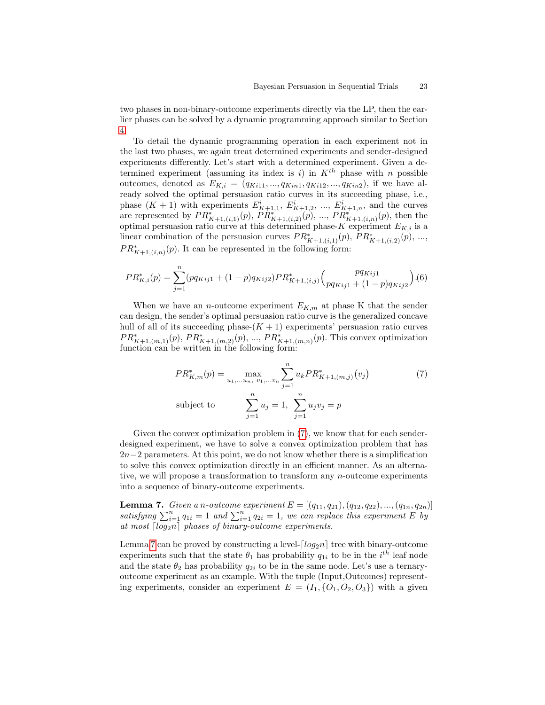two phases in non-binary-outcome experiments directly via the LP, then the earlier phases can be solved by a dynamic programming approach similar to Section [4.](#page-13-0)

To detail the dynamic programming operation in each experiment not in the last two phases, we again treat determined experiments and sender-designed experiments differently. Let's start with a determined experiment. Given a determined experiment (assuming its index is i) in  $K^{th}$  phase with n possible outcomes, denoted as  $E_{K,i} = (q_{Ki11}, ..., q_{Ki11}, q_{Ki12}, ..., q_{Ki12})$ , if we have already solved the optimal persuasion ratio curves in its succeeding phase, i.e., phase  $(K + 1)$  with experiments  $E_{K+1,1}^i$ ,  $E_{K+1,2}^i$ , ...,  $E_{K+1,n}^i$ , and the curves are represented by  $PR_{K+1,(i,1)}^*(p)$ ,  $PR_{K+1,(i,2)}^*(p)$ , ...,  $PR_{K+1,(i,n)}^*(p)$ , then the optimal persuasion ratio curve at this determined phase-K experiment  $E_{K,i}$  is a linear combination of the persuasion curves  $PR_{K+1,(i,1)}^*(p)$ ,  $PR_{K+1,(i,2)}^*(p)$ , ...,  $PR_{K+1,(i,n)}^*(p)$ . It can be represented in the following form:

$$
PR_{K,i}^*(p) = \sum_{j=1}^n (pq_{Kij1} + (1-p)q_{Kij2})PR_{K+1,(i,j)}^*\left(\frac{pq_{Kij1}}{pq_{Kij1} + (1-p)q_{Kij2}}\right). (6)
$$

When we have an *n*-outcome experiment  $E_{K,m}$  at phase K that the sender can design, the sender's optimal persuasion ratio curve is the generalized concave hull of all of its succeeding phase- $(K + 1)$  experiments' persuasion ratio curves  $PR_{K+1,(m,1)}^{*}(p), PR_{K+1,(m,2)}^{*}(p), ..., PR_{K+1,(m,n)}^{*}(p)$ . This convex optimization function can be written in the following form:

<span id="page-22-0"></span>
$$
PR_{K,m}^*(p) = \max_{u_1,\dots,u_n, v_1,\dots,v_n} \sum_{j=1}^n u_k PR_{K+1,(m,j)}^*(v_j)
$$
\nsubject to

\n
$$
\sum_{j=1}^n u_j = 1, \sum_{j=1}^n u_j v_j = p
$$
\n(7)

Given the convex optimization problem in  $(7)$ , we know that for each senderdesigned experiment, we have to solve a convex optimization problem that has  $2n-2$  parameters. At this point, we do not know whether there is a simplification to solve this convex optimization directly in an efficient manner. As an alternative, we will propose a transformation to transform any n-outcome experiments into a sequence of binary-outcome experiments.

<span id="page-22-1"></span>**Lemma 7.** Given a n-outcome experiment  $E = [(q_{11}, q_{21}), (q_{12}, q_{22}), ..., (q_{1n}, q_{2n})]$ satisfying  $\sum_{i=1}^{n} q_{1i} = 1$  and  $\sum_{i=1}^{n} q_{2i} = 1$ , we can replace this experiment E by at most  $\lceil log_2n \rceil$  phases of binary-outcome experiments.

Lemma [7](#page-22-1) can be proved by constructing a level- $\lceil log_2 n \rceil$  tree with binary-outcome experiments such that the state  $\theta_1$  has probability  $q_{1i}$  to be in the  $i^{th}$  leaf node and the state  $\theta_2$  has probability  $q_{2i}$  to be in the same node. Let's use a ternaryoutcome experiment as an example. With the tuple (Input,Outcomes) representing experiments, consider an experiment  $E = (I_1, \{O_1, O_2, O_3\})$  with a given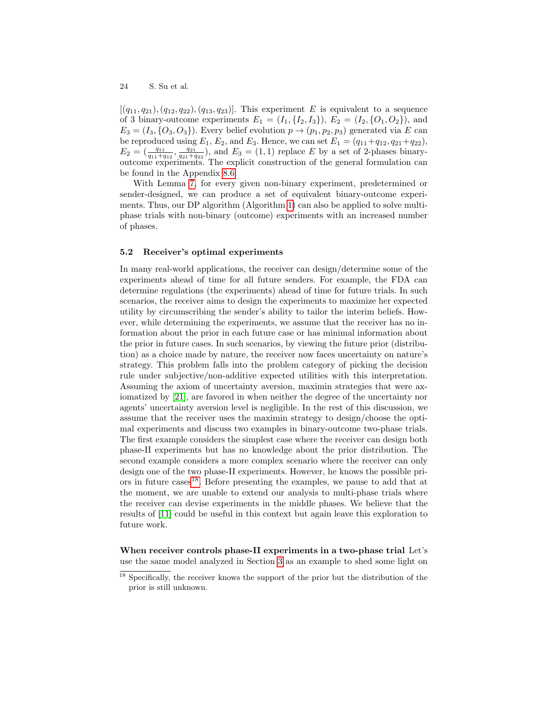$[(q_{11}, q_{21}), (q_{12}, q_{22}), (q_{13}, q_{23})]$ . This experiment E is equivalent to a sequence of 3 binary-outcome experiments  $E_1 = (I_1, \{I_2, I_3\}), E_2 = (I_2, \{O_1, O_2\}),$  and  $E_3 = (I_3, {O_3, O_3})$ . Every belief evolution  $p \rightarrow (p_1, p_2, p_3)$  generated via E can be reproduced using  $E_1, E_2$ , and  $E_3$ . Hence, we can set  $E_1 = (q_{11} + q_{12}, q_{21} + q_{22}),$  $E_2 = (\frac{q_{11}}{q_{11}+q_{12}}, \frac{q_{21}}{q_{21}+q_{22}})$ , and  $E_3 = (1,1)$  replace E by a set of 2-phases binaryoutcome experiments. The explicit construction of the general formulation can be found in the Appendix [8.6.](#page-36-0)

With Lemma [7,](#page-22-1) for every given non-binary experiment, predetermined or sender-designed, we can produce a set of equivalent binary-outcome experiments. Thus, our DP algorithm (Algorithm [1\)](#page-17-0) can also be applied to solve multiphase trials with non-binary (outcome) experiments with an increased number of phases.

# 5.2 Receiver's optimal experiments

In many real-world applications, the receiver can design/determine some of the experiments ahead of time for all future senders. For example, the FDA can determine regulations (the experiments) ahead of time for future trials. In such scenarios, the receiver aims to design the experiments to maximize her expected utility by circumscribing the sender's ability to tailor the interim beliefs. However, while determining the experiments, we assume that the receiver has no information about the prior in each future case or has minimal information about the prior in future cases. In such scenarios, by viewing the future prior (distribution) as a choice made by nature, the receiver now faces uncertainty on nature's strategy. This problem falls into the problem category of picking the decision rule under subjective/non-additive expected utilities with this interpretation. Assuming the axiom of uncertainty aversion, maximin strategies that were axiomatized by [\[21\]](#page-27-15), are favored in when neither the degree of the uncertainty nor agents' uncertainty aversion level is negligible. In the rest of this discussion, we assume that the receiver uses the maximin strategy to design/choose the optimal experiments and discuss two examples in binary-outcome two-phase trials. The first example considers the simplest case where the receiver can design both phase-II experiments but has no knowledge about the prior distribution. The second example considers a more complex scenario where the receiver can only design one of the two phase-II experiments. However, he knows the possible pri-ors in future cases<sup>[18](#page-23-0)</sup>. Before presenting the examples, we pause to add that at the moment, we are unable to extend our analysis to multi-phase trials where the receiver can devise experiments in the middle phases. We believe that the results of [\[11\]](#page-27-16) could be useful in this context but again leave this exploration to future work.

When receiver controls phase-II experiments in a two-phase trial Let's use the same model analyzed in Section [3](#page-6-0) as an example to shed some light on

<span id="page-23-0"></span><sup>&</sup>lt;sup>18</sup> Specifically, the receiver knows the support of the prior but the distribution of the prior is still unknown.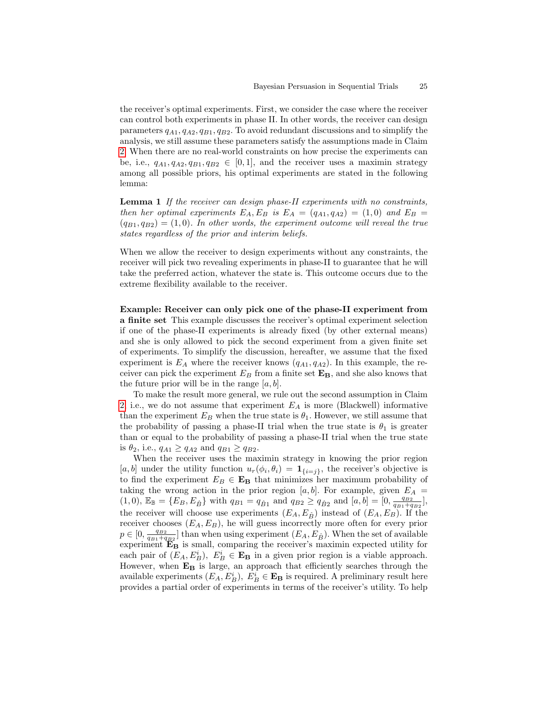the receiver's optimal experiments. First, we consider the case where the receiver can control both experiments in phase II. In other words, the receiver can design parameters  $q_{A1}, q_{A2}, q_{B1}, q_{B2}$ . To avoid redundant discussions and to simplify the analysis, we still assume these parameters satisfy the assumptions made in Claim [2.](#page-7-1) When there are no real-world constraints on how precise the experiments can be, i.e.,  $q_{A1}, q_{A2}, q_{B1}, q_{B2} \in [0,1]$ , and the receiver uses a maximin strategy among all possible priors, his optimal experiments are stated in the following lemma:

<span id="page-24-0"></span>Lemma 1 If the receiver can design phase-II experiments with no constraints, then her optimal experiments  $E_A$ ,  $E_B$  is  $E_A = (q_{A1}, q_{A2}) = (1, 0)$  and  $E_B =$  $(q_{B1}, q_{B2}) = (1, 0)$ . In other words, the experiment outcome will reveal the true states regardless of the prior and interim beliefs.

When we allow the receiver to design experiments without any constraints, the receiver will pick two revealing experiments in phase-II to guarantee that he will take the preferred action, whatever the state is. This outcome occurs due to the extreme flexibility available to the receiver.

Example: Receiver can only pick one of the phase-II experiment from a finite set This example discusses the receiver's optimal experiment selection if one of the phase-II experiments is already fixed (by other external means) and she is only allowed to pick the second experiment from a given finite set of experiments. To simplify the discussion, hereafter, we assume that the fixed experiment is  $E_A$  where the receiver knows  $(q_{A1}, q_{A2})$ . In this example, the receiver can pick the experiment  $E_B$  from a finite set  $\mathbf{E}_B$ , and she also knows that the future prior will be in the range  $[a, b]$ .

To make the result more general, we rule out the second assumption in Claim [2,](#page-7-1) i.e., we do not assume that experiment  $E_A$  is more (Blackwell) informative than the experiment  $E_B$  when the true state is  $\theta_1$ . However, we still assume that the probability of passing a phase-II trial when the true state is  $\theta_1$  is greater than or equal to the probability of passing a phase-II trial when the true state is  $\theta_2$ , i.e.,  $q_{A1} \geq q_{A2}$  and  $q_{B1} \geq q_{B2}$ .

When the receiver uses the maximin strategy in knowing the prior region [a, b] under the utility function  $u_r(\phi_i, \theta_i) = \mathbf{1}_{\{i=j\}}$ , the receiver's objective is to find the experiment  $E_B \in \mathbf{E}_B$  that minimizes her maximum probability of taking the wrong action in the prior region [a, b]. For example, given  $E_A$  =  $(1,0)$ ,  $\mathbb{E}_{\mathbb{B}} = \{E_B, E_{\hat{B}}\}$  with  $q_{B1} = q_{\hat{B}1}$  and  $q_{B2} \ge q_{\hat{B}2}$  and  $[a, b] = [0, \frac{q_{B2}}{q_{B1} + q_{B2}}]$ , the receiver will choose use experiments  $(E_A, E_{\hat{B}})$  instead of  $(E_A, E_B)$ . If the receiver chooses  $(E_A, E_B)$ , he will guess incorrectly more often for every prior  $p \in [0, \frac{q_{B2}}{q_{B1}+q_{B2}}]$  than when using experiment  $(E_A, E_{\hat{B}})$ . When the set of available experiment  $\mathbf{E}_{\mathbf{B}}$  is small, comparing the receiver's maximin expected utility for each pair of  $(E_A, E_B^i)$ ,  $E_B^i \in \mathbf{E}_B$  in a given prior region is a viable approach. However, when  $E_B$  is large, an approach that efficiently searches through the available experiments  $(E_A, E_B^i), E_B^i \in \mathbf{E}_B$  is required. A preliminary result here provides a partial order of experiments in terms of the receiver's utility. To help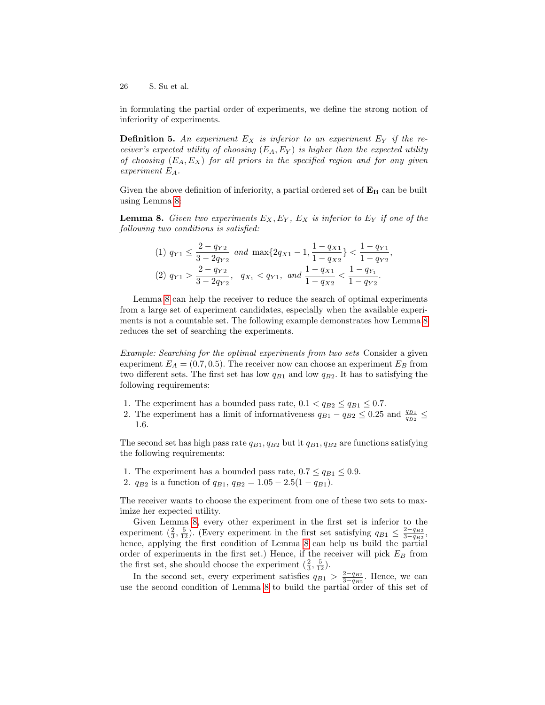in formulating the partial order of experiments, we define the strong notion of inferiority of experiments.

<span id="page-25-1"></span>**Definition 5.** An experiment  $E_X$  is inferior to an experiment  $E_Y$  if the receiver's expected utility of choosing  $(E_A, E_Y)$  is higher than the expected utility of choosing  $(E_A, E_X)$  for all priors in the specified region and for any given experiment EA.

Given the above definition of inferiority, a partial ordered set of  $\mathbf{E}_B$  can be built using Lemma [8:](#page-25-0)

**Lemma 8.** Given two experiments  $E_X, E_Y, E_X$  is inferior to  $E_Y$  if one of the following two conditions is satisfied:

<span id="page-25-0"></span>
$$
(1) \ q_{Y1} \le \frac{2 - q_{Y2}}{3 - 2q_{Y2}} \text{ and } \max\{2q_{X1} - 1, \frac{1 - q_{X1}}{1 - q_{X2}}\} < \frac{1 - q_{Y1}}{1 - q_{Y2}},
$$
\n
$$
(2) \ q_{Y1} > \frac{2 - q_{Y2}}{3 - 2q_{Y2}}, \ q_{X_1} < q_{Y1}, \text{ and } \frac{1 - q_{X1}}{1 - q_{X2}} < \frac{1 - q_{Y_1}}{1 - q_{Y2}}.
$$

Lemma [8](#page-25-0) can help the receiver to reduce the search of optimal experiments from a large set of experiment candidates, especially when the available experiments is not a countable set. The following example demonstrates how Lemma [8](#page-25-0) reduces the set of searching the experiments.

Example: Searching for the optimal experiments from two sets Consider a given experiment  $E_A = (0.7, 0.5)$ . The receiver now can choose an experiment  $E_B$  from two different sets. The first set has low  $q_{B1}$  and low  $q_{B2}$ . It has to satisfying the following requirements:

- 1. The experiment has a bounded pass rate,  $0.1 < q_{B2} \le q_{B1} \le 0.7$ .
- 2. The experiment has a limit of informativeness  $q_{B1} q_{B2} \leq 0.25$  and  $\frac{q_{B1}}{q_{B2}} \leq$ 1.6.

The second set has high pass rate  $q_{B1}, q_{B2}$  but it  $q_{B1}, q_{B2}$  are functions satisfying the following requirements:

- 1. The experiment has a bounded pass rate,  $0.7 \leq q_{B1} \leq 0.9$ .
- 2.  $q_{B2}$  is a function of  $q_{B1}$ ,  $q_{B2} = 1.05 2.5(1 q_{B1})$ .

The receiver wants to choose the experiment from one of these two sets to maximize her expected utility.

Given Lemma [8,](#page-25-0) every other experiment in the first set is inferior to the experiment  $(\frac{2}{3}, \frac{5}{12})$ . (Every experiment in the first set satisfying  $q_{B1} \leq \frac{2-q_{B2}}{3-q_{B2}}$ , hence, applying the first condition of Lemma [8](#page-25-0) can help us build the partial order of experiments in the first set.) Hence, if the receiver will pick  $E_B$  from the first set, she should choose the experiment  $(\frac{2}{3}, \frac{5}{12})$ .

In the second set, every experiment satisfies  $q_{B1} > \frac{2-q_{B2}}{3-q_{B2}}$ . Hence, we can use the second condition of Lemma [8](#page-25-0) to build the partial order of this set of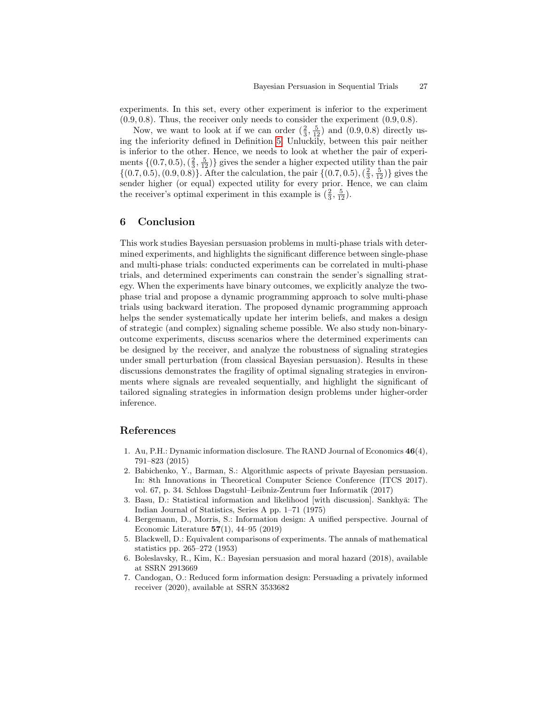experiments. In this set, every other experiment is inferior to the experiment  $(0.9, 0.8)$ . Thus, the receiver only needs to consider the experiment  $(0.9, 0.8)$ .

Now, we want to look at if we can order  $(\frac{2}{3}, \frac{5}{12})$  and  $(0.9, 0.8)$  directly using the inferiority defined in Definition [5.](#page-25-1) Unluckily, between this pair neither is inferior to the other. Hence, we needs to look at whether the pair of experiments  $\{(0.7, 0.5), (\frac{2}{3}, \frac{5}{12})\}$  gives the sender a higher expected utility than the pair  $\{(0.7, 0.5), (0.9, 0.8)\}\.$  After the calculation, the pair  $\{(0.7, 0.5), (\frac{2}{3}, \frac{5}{12})\}$  gives the sender higher (or equal) expected utility for every prior. Hence, we can claim the receiver's optimal experiment in this example is  $(\frac{2}{3}, \frac{5}{12})$ .

# 6 Conclusion

This work studies Bayesian persuasion problems in multi-phase trials with determined experiments, and highlights the significant difference between single-phase and multi-phase trials: conducted experiments can be correlated in multi-phase trials, and determined experiments can constrain the sender's signalling strategy. When the experiments have binary outcomes, we explicitly analyze the twophase trial and propose a dynamic programming approach to solve multi-phase trials using backward iteration. The proposed dynamic programming approach helps the sender systematically update her interim beliefs, and makes a design of strategic (and complex) signaling scheme possible. We also study non-binaryoutcome experiments, discuss scenarios where the determined experiments can be designed by the receiver, and analyze the robustness of signaling strategies under small perturbation (from classical Bayesian persuasion). Results in these discussions demonstrates the fragility of optimal signaling strategies in environments where signals are revealed sequentially, and highlight the significant of tailored signaling strategies in information design problems under higher-order inference.

# References

- <span id="page-26-1"></span>1. Au, P.H.: Dynamic information disclosure. The RAND Journal of Economics 46(4), 791–823 (2015)
- <span id="page-26-2"></span>2. Babichenko, Y., Barman, S.: Algorithmic aspects of private Bayesian persuasion. In: 8th Innovations in Theoretical Computer Science Conference (ITCS 2017). vol. 67, p. 34. Schloss Dagstuhl–Leibniz-Zentrum fuer Informatik (2017)
- <span id="page-26-3"></span>3. Basu, D.: Statistical information and likelihood [with discussion]. Sankhya: The Indian Journal of Statistics, Series A pp. 1–71 (1975)
- <span id="page-26-0"></span>4. Bergemann, D., Morris, S.: Information design: A unified perspective. Journal of Economic Literature 57(1), 44–95 (2019)
- <span id="page-26-4"></span>5. Blackwell, D.: Equivalent comparisons of experiments. The annals of mathematical statistics pp. 265–272 (1953)
- <span id="page-26-5"></span>6. Boleslavsky, R., Kim, K.: Bayesian persuasion and moral hazard (2018), available at SSRN 2913669
- <span id="page-26-6"></span>7. Candogan, O.: Reduced form information design: Persuading a privately informed receiver (2020), available at SSRN 3533682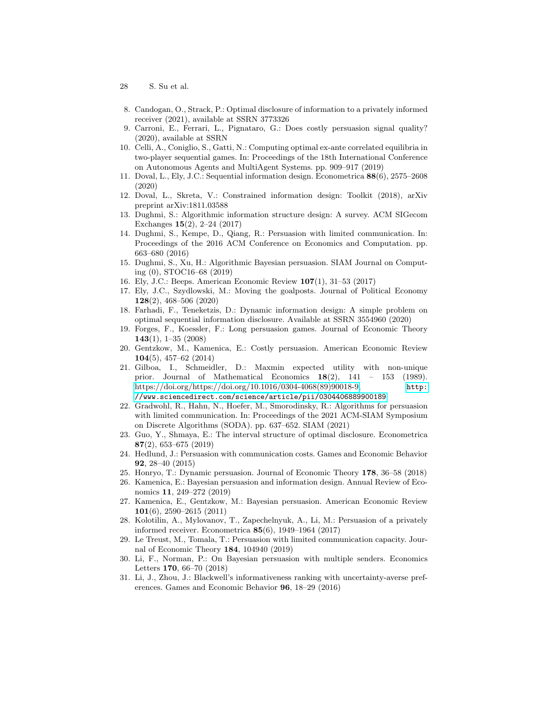- 28 S. Su et al.
- <span id="page-27-23"></span>8. Candogan, O., Strack, P.: Optimal disclosure of information to a privately informed receiver (2021), available at SSRN 3773326
- <span id="page-27-19"></span>9. Carroni, E., Ferrari, L., Pignataro, G.: Does costly persuasion signal quality? (2020), available at SSRN
- <span id="page-27-11"></span>10. Celli, A., Coniglio, S., Gatti, N.: Computing optimal ex-ante correlated equilibria in two-player sequential games. In: Proceedings of the 18th International Conference on Autonomous Agents and MultiAgent Systems. pp. 909–917 (2019)
- <span id="page-27-16"></span>11. Doval, L., Ely, J.C.: Sequential information design. Econometrica 88(6), 2575–2608 (2020)
- <span id="page-27-22"></span>12. Doval, L., Skreta, V.: Constrained information design: Toolkit (2018), arXiv preprint arXiv:1811.03588
- <span id="page-27-12"></span>13. Dughmi, S.: Algorithmic information structure design: A survey. ACM SIGecom Exchanges 15(2), 2–24 (2017)
- <span id="page-27-8"></span>14. Dughmi, S., Kempe, D., Qiang, R.: Persuasion with limited communication. In: Proceedings of the 2016 ACM Conference on Economics and Computation. pp. 663–680 (2016)
- <span id="page-27-13"></span>15. Dughmi, S., Xu, H.: Algorithmic Bayesian persuasion. SIAM Journal on Computing (0), STOC16–68 (2019)
- <span id="page-27-6"></span>16. Ely, J.C.: Beeps. American Economic Review 107(1), 31–53 (2017)
- <span id="page-27-5"></span>17. Ely, J.C., Szydlowski, M.: Moving the goalposts. Journal of Political Economy 128(2), 468–506 (2020)
- <span id="page-27-7"></span>18. Farhadi, F., Teneketzis, D.: Dynamic information design: A simple problem on optimal sequential information disclosure. Available at SSRN 3554960 (2020)
- <span id="page-27-2"></span>19. Forges, F., Koessler, F.: Long persuasion games. Journal of Economic Theory  $143(1), 1-35(2008)$
- <span id="page-27-17"></span>20. Gentzkow, M., Kamenica, E.: Costly persuasion. American Economic Review 104(5), 457–62 (2014)
- <span id="page-27-15"></span>21. Gilboa, I., Schmeidler, D.: Maxmin expected utility with non-unique prior. Journal of Mathematical Economics  $18(2)$ ,  $141 - 153$  (1989). [https://doi.org/https://doi.org/10.1016/0304-4068\(89\)90018-9,](https://doi.org/https://doi.org/10.1016/0304-4068(89)90018-9) [http:](http://www.sciencedirect.com/science/article/pii/0304406889900189) [//www.sciencedirect.com/science/article/pii/0304406889900189](http://www.sciencedirect.com/science/article/pii/0304406889900189)
- <span id="page-27-9"></span>22. Gradwohl, R., Hahn, N., Hoefer, M., Smorodinsky, R.: Algorithms for persuasion with limited communication. In: Proceedings of the 2021 ACM-SIAM Symposium on Discrete Algorithms (SODA). pp. 637–652. SIAM (2021)
- <span id="page-27-21"></span>23. Guo, Y., Shmaya, E.: The interval structure of optimal disclosure. Econometrica 87(2), 653–675 (2019)
- <span id="page-27-18"></span>24. Hedlund, J.: Persuasion with communication costs. Games and Economic Behavior 92, 28–40 (2015)
- <span id="page-27-4"></span>25. Honryo, T.: Dynamic persuasion. Journal of Economic Theory 178, 36–58 (2018)
- <span id="page-27-1"></span>26. Kamenica, E.: Bayesian persuasion and information design. Annual Review of Economics 11, 249–272 (2019)
- <span id="page-27-0"></span>27. Kamenica, E., Gentzkow, M.: Bayesian persuasion. American Economic Review 101(6), 2590–2615 (2011)
- <span id="page-27-20"></span>28. Kolotilin, A., Mylovanov, T., Zapechelnyuk, A., Li, M.: Persuasion of a privately informed receiver. Econometrica 85(6), 1949–1964 (2017)
- <span id="page-27-10"></span>29. Le Treust, M., Tomala, T.: Persuasion with limited communication capacity. Journal of Economic Theory 184, 104940 (2019)
- <span id="page-27-3"></span>30. Li, F., Norman, P.: On Bayesian persuasion with multiple senders. Economics Letters 170, 66–70 (2018)
- <span id="page-27-14"></span>31. Li, J., Zhou, J.: Blackwell's informativeness ranking with uncertainty-averse preferences. Games and Economic Behavior 96, 18–29 (2016)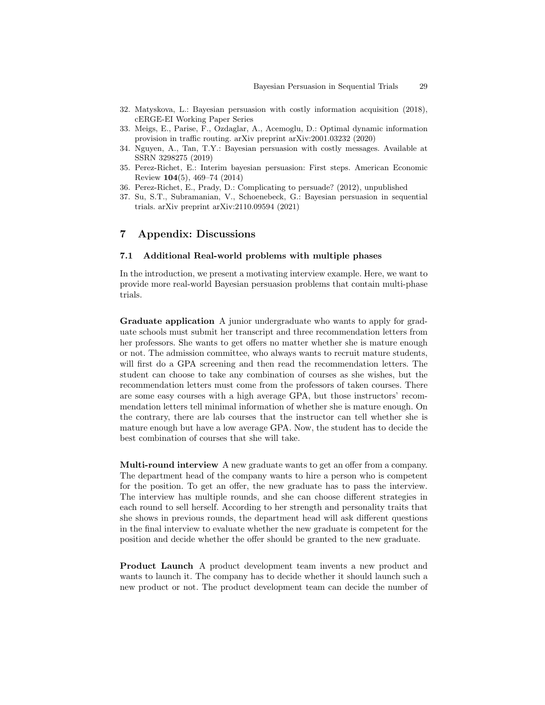- <span id="page-28-5"></span>32. Matyskova, L.: Bayesian persuasion with costly information acquisition (2018), cERGE-EI Working Paper Series
- <span id="page-28-1"></span>33. Meigs, E., Parise, F., Ozdaglar, A., Acemoglu, D.: Optimal dynamic information provision in traffic routing. arXiv preprint arXiv:2001.03232 (2020)
- <span id="page-28-0"></span>34. Nguyen, A., Tan, T.Y.: Bayesian persuasion with costly messages. Available at SSRN 3298275 (2019)
- <span id="page-28-4"></span>35. Perez-Richet, E.: Interim bayesian persuasion: First steps. American Economic Review 104(5), 469–74 (2014)
- <span id="page-28-3"></span>36. Perez-Richet, E., Prady, D.: Complicating to persuade? (2012), unpublished
- <span id="page-28-2"></span>37. Su, S.T., Subramanian, V., Schoenebeck, G.: Bayesian persuasion in sequential trials. arXiv preprint arXiv:2110.09594 (2021)

# 7 Appendix: Discussions

#### 7.1 Additional Real-world problems with multiple phases

In the introduction, we present a motivating interview example. Here, we want to provide more real-world Bayesian persuasion problems that contain multi-phase trials.

Graduate application A junior undergraduate who wants to apply for graduate schools must submit her transcript and three recommendation letters from her professors. She wants to get offers no matter whether she is mature enough or not. The admission committee, who always wants to recruit mature students, will first do a GPA screening and then read the recommendation letters. The student can choose to take any combination of courses as she wishes, but the recommendation letters must come from the professors of taken courses. There are some easy courses with a high average GPA, but those instructors' recommendation letters tell minimal information of whether she is mature enough. On the contrary, there are lab courses that the instructor can tell whether she is mature enough but have a low average GPA. Now, the student has to decide the best combination of courses that she will take.

Multi-round interview A new graduate wants to get an offer from a company. The department head of the company wants to hire a person who is competent for the position. To get an offer, the new graduate has to pass the interview. The interview has multiple rounds, and she can choose different strategies in each round to sell herself. According to her strength and personality traits that she shows in previous rounds, the department head will ask different questions in the final interview to evaluate whether the new graduate is competent for the position and decide whether the offer should be granted to the new graduate.

Product Launch A product development team invents a new product and wants to launch it. The company has to decide whether it should launch such a new product or not. The product development team can decide the number of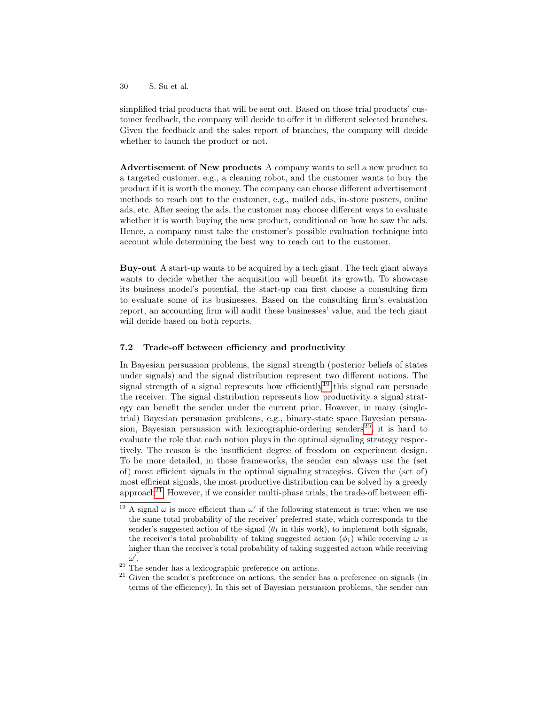simplified trial products that will be sent out. Based on those trial products' customer feedback, the company will decide to offer it in different selected branches. Given the feedback and the sales report of branches, the company will decide whether to launch the product or not.

Advertisement of New products A company wants to sell a new product to a targeted customer, e.g., a cleaning robot, and the customer wants to buy the product if it is worth the money. The company can choose different advertisement methods to reach out to the customer, e.g., mailed ads, in-store posters, online ads, etc. After seeing the ads, the customer may choose different ways to evaluate whether it is worth buying the new product, conditional on how he saw the ads. Hence, a company must take the customer's possible evaluation technique into account while determining the best way to reach out to the customer.

Buy-out A start-up wants to be acquired by a tech giant. The tech giant always wants to decide whether the acquisition will benefit its growth. To showcase its business model's potential, the start-up can first choose a consulting firm to evaluate some of its businesses. Based on the consulting firm's evaluation report, an accounting firm will audit these businesses' value, and the tech giant will decide based on both reports.

# 7.2 Trade-off between efficiency and productivity

In Bayesian persuasion problems, the signal strength (posterior beliefs of states under signals) and the signal distribution represent two different notions. The signal strength of a signal represents how efficiently<sup>[19](#page-29-0)</sup> this signal can persuade the receiver. The signal distribution represents how productivity a signal strategy can benefit the sender under the current prior. However, in many (singletrial) Bayesian persuasion problems, e.g., binary-state space Bayesian persua-sion, Bayesian persuasion with lexicographic-ordering senders<sup>[20](#page-29-1)</sup>, it is hard to evaluate the role that each notion plays in the optimal signaling strategy respectively. The reason is the insufficient degree of freedom on experiment design. To be more detailed, in those frameworks, the sender can always use the (set of) most efficient signals in the optimal signaling strategies. Given the (set of) most efficient signals, the most productive distribution can be solved by a greedy approach<sup>[21](#page-29-2)</sup>. However, if we consider multi-phase trials, the trade-off between effi-

<span id="page-29-0"></span><sup>&</sup>lt;sup>19</sup> A signal  $\omega$  is more efficient than  $\omega'$  if the following statement is true: when we use the same total probability of the receiver' preferred state, which corresponds to the sender's suggested action of the signal  $(\theta_1$  in this work), to implement both signals, the receiver's total probability of taking suggested action  $(\phi_1)$  while receiving  $\omega$  is higher than the receiver's total probability of taking suggested action while receiving  $\omega'$ .

<span id="page-29-1"></span><sup>20</sup> The sender has a lexicographic preference on actions.

<span id="page-29-2"></span> $21$  Given the sender's preference on actions, the sender has a preference on signals (in terms of the efficiency). In this set of Bayesian persuasion problems, the sender can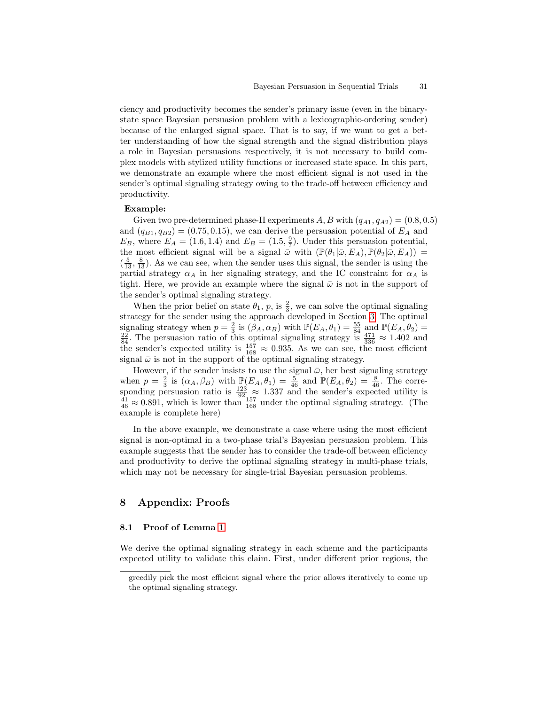ciency and productivity becomes the sender's primary issue (even in the binarystate space Bayesian persuasion problem with a lexicographic-ordering sender) because of the enlarged signal space. That is to say, if we want to get a better understanding of how the signal strength and the signal distribution plays a role in Bayesian persuasions respectively, it is not necessary to build complex models with stylized utility functions or increased state space. In this part, we demonstrate an example where the most efficient signal is not used in the sender's optimal signaling strategy owing to the trade-off between efficiency and productivity.

### Example:

Given two pre-determined phase-II experiments A, B with  $(q_{A1}, q_{A2}) = (0.8, 0.5)$ and  $(q_{B1}, q_{B2}) = (0.75, 0.15)$ , we can derive the persuasion potential of  $E_A$  and  $E_B$ , where  $E_A = (1.6, 1.4)$  and  $E_B = (1.5, \frac{9}{7})$ . Under this persuasion potential, the most efficient signal will be a signal  $\bar{\omega}$  with  $(\mathbb{P}(\theta_1|\bar{\omega}, E_A), \mathbb{P}(\theta_2|\bar{\omega}, E_A)) =$  $\left(\frac{5}{13}, \frac{8}{13}\right)$ . As we can see, when the sender uses this signal, the sender is using the partial strategy  $\alpha_A$  in her signaling strategy, and the IC constraint for  $\alpha_A$  is tight. Here, we provide an example where the signal  $\bar{\omega}$  is not in the support of the sender's optimal signaling strategy.

When the prior belief on state  $\theta_1$ ,  $p$ , is  $\frac{2}{3}$ , we can solve the optimal signaling strategy for the sender using the approach developed in Section [3.](#page-6-0) The optimal signaling strategy when  $p = \frac{2}{3}$  is  $(\beta_A, \alpha_B)$  with  $\mathbb{P}(E_A, \theta_1) = \frac{55}{84}$  and  $\mathbb{P}(E_A, \theta_2) = \frac{22}{84}$ . The persuasion ratio of this optimal signaling strategy is  $\frac{471}{336} \approx 1.402$  and the sender's expected utility is  $\frac{157}{168} \approx 0.935$ . As we can see, the most efficient signal  $\bar{\omega}$  is not in the support of the optimal signaling strategy.

However, if the sender insists to use the signal  $\bar{\omega}$ , her best signaling strategy when  $p = \frac{2}{3}$  is  $(\alpha_A, \beta_B)$  with  $\mathbb{P}(E_A, \theta_1) = \frac{5}{46}$  and  $\mathbb{P}(E_A, \theta_2) = \frac{8}{46}$ . The corresponding persuasion ratio is  $\frac{123}{92} \approx 1.337$  and the sender's expected utility is  $\frac{41}{46} \approx 0.891$ , which is lower than  $\frac{157}{168}$  under the optimal signaling strategy. (The example is complete here)

In the above example, we demonstrate a case where using the most efficient signal is non-optimal in a two-phase trial's Bayesian persuasion problem. This example suggests that the sender has to consider the trade-off between efficiency and productivity to derive the optimal signaling strategy in multi-phase trials, which may not be necessary for single-trial Bayesian persuasion problems.

# 8 Appendix: Proofs

### 8.1 Proof of Lemma [1](#page-6-1)

We derive the optimal signaling strategy in each scheme and the participants expected utility to validate this claim. First, under different prior regions, the

greedily pick the most efficient signal where the prior allows iteratively to come up the optimal signaling strategy.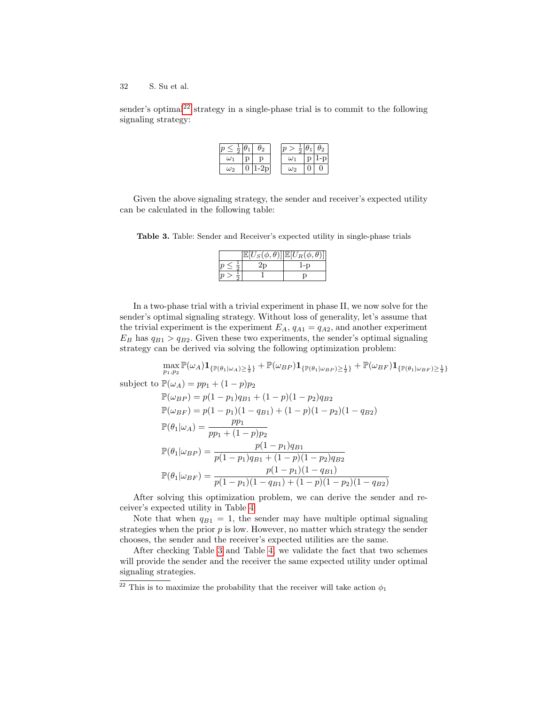sender's optimal<sup>[22](#page-31-0)</sup> strategy in a single-phase trial is to commit to the following signaling strategy:

Given the above signaling strategy, the sender and receiver's expected utility can be calculated in the following table:

<span id="page-31-1"></span>Table 3. Table: Sender and Receiver's expected utility in single-phase trials

|  | $\mathbb{E}[U_{S}(\phi,\theta)]\big \mathbb{E}[U_{R}(\phi,\theta)]\big $ |
|--|--------------------------------------------------------------------------|
|  | l-D                                                                      |
|  |                                                                          |

In a two-phase trial with a trivial experiment in phase II, we now solve for the sender's optimal signaling strategy. Without loss of generality, let's assume that the trivial experiment is the experiment  $E_A$ ,  $q_{A1} = q_{A2}$ , and another experiment  $E_B$  has  $q_{B1} > q_{B2}$ . Given these two experiments, the sender's optimal signaling strategy can be derived via solving the following optimization problem:

 $\max_{p_1,p_2} \mathbb{P}(\omega_A) \mathbf{1}_{\{\mathbb{P}(\theta_1 | \omega_A) \geq \frac{1}{2}\}} + \mathbb{P}(\omega_{BP}) \mathbf{1}_{\{\mathbb{P}(\theta_1 | \omega_{BP}) \geq \frac{1}{2}\}} + \mathbb{P}(\omega_{BF}) \mathbf{1}_{\{\mathbb{P}(\theta_1 | \omega_{BF}) \geq \frac{1}{2}\}}$ 

subject to  $\mathbb{P}(\omega_A) = pp_1 + (1-p)p_2$ 

$$
\mathbb{P}(\omega_{BP}) = p(1 - p_1)q_{B1} + (1 - p)(1 - p_2)q_{B2}
$$
  
\n
$$
\mathbb{P}(\omega_{BF}) = p(1 - p_1)(1 - q_{B1}) + (1 - p)(1 - p_2)(1 - q_{B2})
$$
  
\n
$$
\mathbb{P}(\theta_1|\omega_A) = \frac{pp_1}{pp_1 + (1 - p)p_2}
$$
  
\n
$$
\mathbb{P}(\theta_1|\omega_{BP}) = \frac{p(1 - p_1)q_{B1}}{p(1 - p_1)q_{B1} + (1 - p)(1 - p_2)q_{B2}}
$$
  
\n
$$
\mathbb{P}(\theta_1|\omega_{BF}) = \frac{p(1 - p_1)(1 - q_{B1})}{p(1 - p_1)(1 - q_{B1}) + (1 - p)(1 - p_2)(1 - q_{B2})}
$$

After solving this optimization problem, we can derive the sender and receiver's expected utility in Table [4:](#page-32-0)

Note that when  $q_{B1} = 1$ , the sender may have multiple optimal signaling strategies when the prior  $p$  is low. However, no matter which strategy the sender chooses, the sender and the receiver's expected utilities are the same.

After checking Table [3](#page-31-1) and Table [4,](#page-32-0) we validate the fact that two schemes will provide the sender and the receiver the same expected utility under optimal signaling strategies.

<span id="page-31-0"></span> $\frac{22}{2}$  This is to maximize the probability that the receiver will take action  $\phi_1$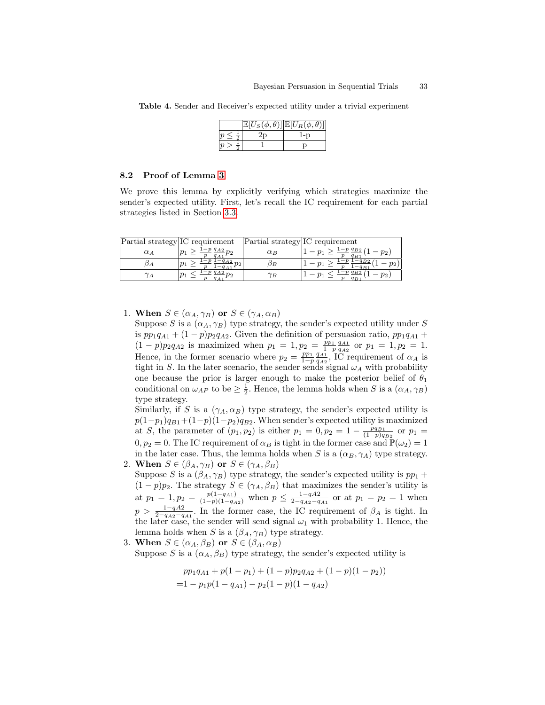|  | $[\overline{U_S(\phi ,\theta)}] \mathbb{E}[U_R(\phi ,\theta)]$ |
|--|----------------------------------------------------------------|
|  |                                                                |
|  |                                                                |

<span id="page-32-0"></span>Table 4. Sender and Receiver's expected utility under a trivial experiment

#### 8.2 Proof of Lemma [3](#page-10-0)

We prove this lemma by explicitly verifying which strategies maximize the sender's expected utility. First, let's recall the IC requirement for each partial strategies listed in Section [3.3.](#page-8-1)

| Partial strategy IC requirement |            | Partial strategy IC requirement |                              |
|---------------------------------|------------|---------------------------------|------------------------------|
| $\alpha_A$                      | $-pq_{A2}$ | $\alpha_B$                      | $-pq_{B2}$<br>$p_2$<br>$q_B$ |
| DА                              |            | DВ                              | $v_2$ ,                      |
| $\gamma_A$                      |            | $\gamma_B$                      | $p_2$                        |

1. When  $S \in (\alpha_A, \gamma_B)$  or  $S \in (\gamma_A, \alpha_B)$ 

Suppose S is a  $(\alpha_A, \gamma_B)$  type strategy, the sender's expected utility under S is  $pp_1q_{A1} + (1-p)p_2q_{A2}$ . Given the definition of persuasion ratio,  $pp_1q_{A1}$  +  $(1-p)p_2q_{A2}$  is maximized when  $p_1 = 1, p_2 = \frac{p_{11}q_{A1}}{1-p}$  or  $p_1 = 1, p_2 = 1$ . Hence, in the former scenario where  $p_2 = \frac{pp_1}{1-p} \frac{q_{A1}}{q_{A2}}$ , IC requirement of  $\alpha_A$  is tight in S. In the later scenario, the sender sends signal  $\omega_A$  with probability one because the prior is larger enough to make the posterior belief of  $\theta_1$ conditional on  $\omega_{AP}$  to be  $\geq \frac{1}{2}$ . Hence, the lemma holds when S is a  $(\alpha_A, \gamma_B)$ type strategy.

Similarly, if S is a  $(\gamma_A, \alpha_B)$  type strategy, the sender's expected utility is  $p(1-p_1)q_{B1}+(1-p)(1-p_2)q_{B2}$ . When sender's expected utility is maximized at S, the parameter of  $(p_1, p_2)$  is either  $p_1 = 0, p_2 = 1 - \frac{pq_{B1}}{(1-p)q_{B2}}$  or  $p_1 =$  $0, p_2 = 0$ . The IC requirement of  $\alpha_B$  is tight in the former case and  $\mathbb{P}(\omega_2) = 1$ in the later case. Thus, the lemma holds when S is a  $(\alpha_B, \gamma_A)$  type strategy. 2. When  $S \in (\beta_A, \gamma_B)$  or  $S \in (\gamma_A, \beta_B)$ 

- Suppose S is a  $(\beta_A, \gamma_B)$  type strategy, the sender's expected utility is  $pp_1 +$  $(1-p)p_2$ . The strategy  $S \in (\gamma_A, \beta_B)$  that maximizes the sender's utility is at  $p_1 = 1, p_2 = \frac{p(1-q_{A1})}{(1-p)(1-q_{A2})}$  when  $p \le \frac{1-q_{A2}}{2-q_{A2}-q_{A1}}$  or at  $p_1 = p_2 = 1$  when  $p > \frac{1-qA2}{2-q_{A2}-q_{A1}}$ . In the former case, the IC requirement of  $\beta_A$  is tight. In the later case, the sender will send signal  $\omega_1$  with probability 1. Hence, the lemma holds when S is a  $(\beta_A, \gamma_B)$  type strategy.
- 3. When  $S \in (\alpha_A, \beta_B)$  or  $S \in (\beta_A, \alpha_B)$

Suppose S is a  $(\alpha_A, \beta_B)$  type strategy, the sender's expected utility is

$$
pp_1q_{A1} + p(1 - p_1) + (1 - p)p_2q_{A2} + (1 - p)(1 - p_2))
$$
  
= 1 - p<sub>1</sub>p(1 - q<sub>A1</sub>) - p<sub>2</sub>(1 - p)(1 - q<sub>A2</sub>)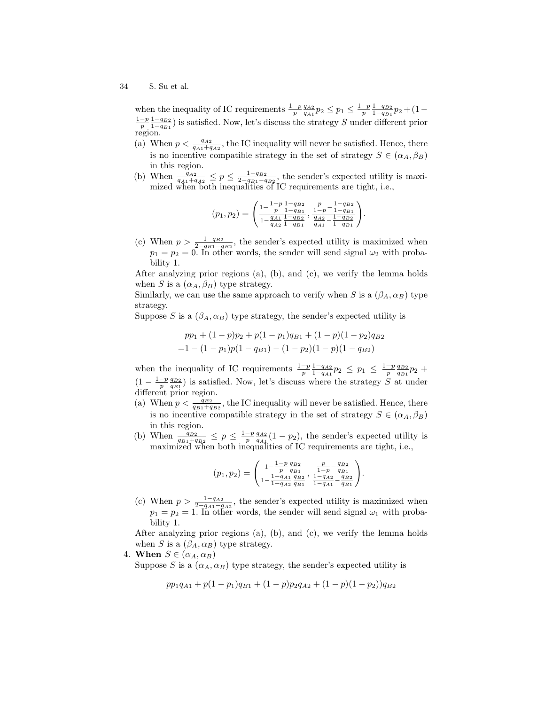when the inequality of IC requirements  $\frac{1-p}{p} \frac{q_{A2}}{q_{A1}} p_2 \leq p_1 \leq \frac{1-p}{p} \frac{1-q_{B2}}{1-q_{B1}} p_2 + (1-p)$  $\frac{1-p}{p} \frac{1-q_{B2}}{1-q_{B1}}$ ) is satisfied. Now, let's discuss the strategy S under different prior region.

- (a) When  $p < \frac{q_{A2}}{q_{A1}+q_{A2}}$ , the IC inequality will never be satisfied. Hence, there is no incentive compatible strategy in the set of strategy  $S \in (\alpha_A, \beta_B)$ in this region.
- (b) When  $\frac{q_{A2}}{q_{A1}+q_{A2}} \leq p \leq \frac{1-q_{B2}}{2-q_{B1}-q_{B2}}$ , the sender's expected utility is maximized when both inequalities of IC requirements are tight, i.e.,

$$
(p_1,p_2)=\left(\begin{matrix} \frac{1-p}{p}\frac{1-q_{B2}}{1-q_{B1}} , \frac{p}{1-p}-\frac{1-q_{B2}}{1-q_{B1}} \\ \frac{q_{A1}}{1-q_{A2}}\frac{1-q_{B2}}{1-q_{B1}} , \frac{q_{A2}}{q_{A1}}-\frac{1-q_{B2}}{1-q_{B1}} \end{matrix}\right)
$$

.

.

(c) When  $p > \frac{1-q_{B2}}{2-q_{B1}-q_{B2}}$ , the sender's expected utility is maximized when  $p_1 = p_2 = 0$ . In other words, the sender will send signal  $\omega_2$  with probability 1.

After analyzing prior regions (a), (b), and (c), we verify the lemma holds when S is a  $(\alpha_A, \beta_B)$  type strategy.

Similarly, we can use the same approach to verify when S is a  $(\beta_A, \alpha_B)$  type strategy.

Suppose S is a  $(\beta_A, \alpha_B)$  type strategy, the sender's expected utility is

$$
pp_1 + (1-p)p_2 + p(1-p_1)q_{B1} + (1-p)(1-p_2)q_{B2}
$$
  
=1 - (1-p<sub>1</sub>)p(1-q<sub>B1</sub>) - (1-p<sub>2</sub>)(1-p)(1-q<sub>B2</sub>)

when the inequality of IC requirements  $\frac{1-p}{p} \frac{1-q_{A2}}{1-q_{A1}} p_2 \leq p_1 \leq \frac{1-p}{p} \frac{q_{B2}}{q_{B1}} p_2 +$  $(1-\frac{1-p}{p}\frac{q_{B2}}{q_{B1}})$  is satisfied. Now, let's discuss where the strategy S at under different prior region.

- (a) When  $p < \frac{q_{B2}}{q_{B1}+q_{B2}}$ , the IC inequality will never be satisfied. Hence, there is no incentive compatible strategy in the set of strategy  $S \in (\alpha_A, \beta_B)$ in this region.
- (b) When  $\frac{q_{B2}}{q_{B1}+q_{B2}} \leq p \leq \frac{1-p}{p} \frac{q_{A2}}{q_{A1}}(1-p_2)$ , the sender's expected utility is maximized when both inequalities of IC requirements are tight, i.e.,

$$
(p_1, p_2) = \left(\frac{1 - \frac{1 - p}{p} \frac{q_{B2}}{q_{B1}}}{1 - \frac{1 - q_{A1}}{1 - q_{A2}} \frac{q_{B2}}{q_{B1}}}, \frac{\frac{p}{1 - p} - \frac{q_{B2}}{q_{B1}}}{1 - q_{A2} - \frac{q_{B2}}{q_{B1}}}\right)
$$

(c) When  $p > \frac{1-q_{A2}}{2-q_{A1}-q_{A2}}$ , the sender's expected utility is maximized when  $p_1 = p_2 = 1$ . In other words, the sender will send signal  $\omega_1$  with probability 1.

After analyzing prior regions (a), (b), and (c), we verify the lemma holds when S is a  $(\beta_A, \alpha_B)$  type strategy.

4. When  $S \in (\alpha_A, \alpha_B)$ 

Suppose S is a  $(\alpha_A, \alpha_B)$  type strategy, the sender's expected utility is

$$
pp_1q_{A1} + p(1-p_1)q_{B1} + (1-p)p_2q_{A2} + (1-p)(1-p_2))q_{B2}
$$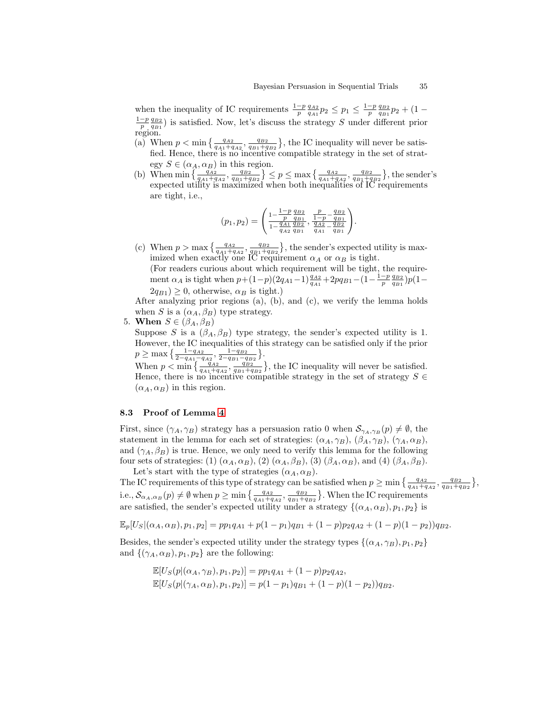when the inequality of IC requirements  $\frac{1-p}{p} \frac{q_{A2}}{q_{A1}} p_2 \leq p_1 \leq \frac{1-p}{p} \frac{q_{B2}}{q_{B1}} p_2 + (1-p)$  $\frac{1-p}{p} \frac{q_{B2}}{q_{B1}}$ ) is satisfied. Now, let's discuss the strategy S under different prior region.

- (a) When  $p < \min\left\{\frac{q_{A2}}{q_{A1}+q_{A2}}, \frac{q_{B2}}{q_{B1}+q_{B2}}\right\}$ , the IC inequality will never be satisfied. Hence, there is no incentive compatible strategy in the set of strategy  $S \in (\alpha_A, \alpha_B)$  in this region.
- (b) When  $\min\left\{\frac{q_{A2}}{q_{A1}+q_{A2}}, \frac{q_{B2}}{q_{B1}+q_{B2}}\right\} \leq p \leq \max\left\{\frac{q_{A2}}{q_{A1}+q_{A2}}, \frac{q_{B2}}{q_{B1}+q_{B2}}\right\}$ , the sender's expected utility is maximized when both inequalities of IC requirements are tight, i.e.,

$$
(p_1, p_2) = \begin{pmatrix} \frac{1-p}{p} \frac{q_{B2}}{q_{B1}} & \frac{p}{1-p} - \frac{q_{B2}}{q_{B1}} \\ \frac{q_{A1}}{1-\frac{q_{A1}}{q_{B2}} \frac{q_{B2}}{q_{B1}}}, & \frac{q_{A2}}{q_{A1}} - \frac{q_{B2}}{q_{B1}} \end{pmatrix}.
$$

(c) When  $p > \max\left\{\frac{q_{A2}}{q_{A1}+q_{A2}}, \frac{q_{B2}}{q_{B1}+q_{B2}}\right\}$ , the sender's expected utility is maximized when exactly one IC requirement  $\alpha_A$  or  $\alpha_B$  is tight.

(For readers curious about which requirement will be tight, the requirement  $\alpha_A$  is tight when  $p+(1-p)(2q_{A1}-1)\frac{q_{A2}}{q_{A1}}+2pq_{B1}-(1-\frac{1-p}{p}\frac{q_{B2}}{q_{B1}})p(1-\frac{1-p}{p})$  $2q_{B1}$ )  $\geq$  0, otherwise,  $\alpha_B$  is tight.)

After analyzing prior regions (a), (b), and (c), we verify the lemma holds when S is a  $(\alpha_A, \beta_B)$  type strategy.

5. When  $S \in (\beta_A, \beta_B)$ 

Suppose S is a  $(\beta_A, \beta_B)$  type strategy, the sender's expected utility is 1. However, the IC inequalities of this strategy can be satisfied only if the prior  $p \ge \max\left\{\frac{1-q_{A2}}{2-q_{A1}-q_{A2}}, \frac{1-q_{B2}}{2-q_{B1}-q_{B2}}\right\}.$ 

When  $p < \min\left\{\frac{q_{A2}}{q_{A1}+q_{A2}}, \frac{q_{B2}}{q_{B1}+q_{B2}}\right\}$ , the IC inequality will never be satisfied. Hence, there is no incentive compatible strategy in the set of strategy  $S \in$  $(\alpha_A, \alpha_B)$  in this region.

# 8.3 Proof of Lemma [4](#page-11-0)

First, since  $(\gamma_A, \gamma_B)$  strategy has a persuasion ratio 0 when  $\mathcal{S}_{\gamma_A, \gamma_B}(p) \neq \emptyset$ , the statement in the lemma for each set of strategies:  $(\alpha_A, \gamma_B)$ ,  $(\beta_A, \gamma_B)$ ,  $(\gamma_A, \alpha_B)$ , and  $(\gamma_A, \beta_B)$  is true. Hence, we only need to verify this lemma for the following four sets of strategies: (1)  $(\alpha_A, \alpha_B)$ , (2)  $(\alpha_A, \beta_B)$ , (3)  $(\beta_A, \alpha_B)$ , and (4)  $(\beta_A, \beta_B)$ . Let's start with the type of strategies  $(\alpha_A, \alpha_B)$ .

The IC requirements of this type of strategy can be satisfied when  $p \ge \min\left\{\frac{q_{A2}}{q_{A1}+q_{A2}}, \frac{q_{B2}}{q_{B1}+q_{B2}}\right\}$ , i.e.,  $\mathcal{S}_{\alpha_A,\alpha_B}(p) \neq \emptyset$  when  $p \geq \min\left\{\frac{q_{A2}}{q_{A1}+q_{A2}}, \frac{q_{B2}}{q_{B1}+q_{B2}}\right\}$ . When the IC requirements are satisfied, the sender's expected utility under a strategy  $\{(\alpha_A, \alpha_B), p_1, p_2\}$  is

$$
\mathbb{E}_p[U_S](\alpha_A, \alpha_B), p_1, p_2] = pp_1q_{A1} + p(1-p_1)q_{B1} + (1-p)p_2q_{A2} + (1-p)(1-p_2))q_{B2}.
$$

Besides, the sender's expected utility under the strategy types  $\{(\alpha_A, \gamma_B), p_1, p_2\}$ and  $\{(\gamma_A, \alpha_B), p_1, p_2\}$  are the following:

$$
\mathbb{E}[U_S(p|(\alpha_A, \gamma_B), p_1, p_2)] = pp_1q_{A1} + (1-p)p_2q_{A2},
$$
  

$$
\mathbb{E}[U_S(p|(\gamma_A, \alpha_B), p_1, p_2)] = p(1-p_1)q_{B1} + (1-p)(1-p_2)q_{B2}.
$$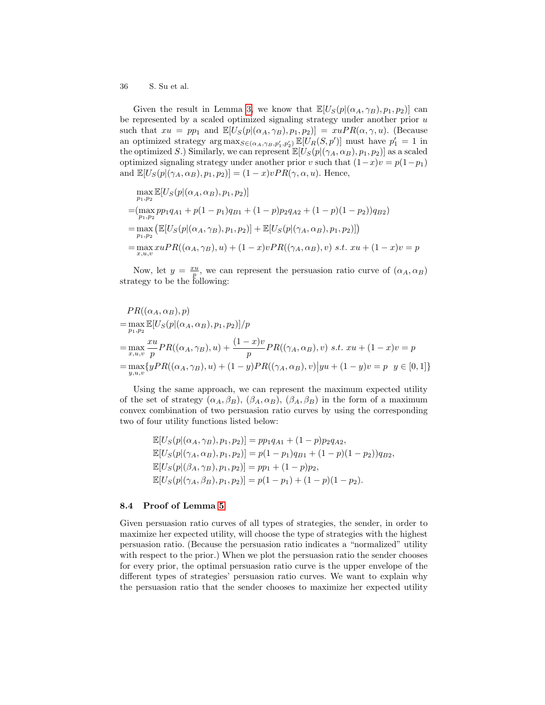Given the result in Lemma [3,](#page-10-0) we know that  $\mathbb{E}[U_{S}(p|(\alpha_{A}, \gamma_{B}), p_{1}, p_{2})]$  can be represented by a scaled optimized signaling strategy under another prior  $u$ such that  $xu = pp_1$  and  $\mathbb{E}[U_S(p|(\alpha_A, \gamma_B), p_1, p_2)] = xuPR(\alpha, \gamma, u)$ . (Because an optimized strategy  $\arg \max_{S \in (\alpha_A, \gamma_B, p'_1, p'_2)} \mathbb{E}[U_R(S, p')]$  must have  $p'_1 = 1$  in the optimized S.) Similarly, we can represent  $\mathbb{E}[U_S(p|(\gamma_A, \alpha_B), p_1, p_2)]$  as a scaled optimized signaling strategy under another prior v such that  $(1-x)v = p(1-p_1)$ and  $\mathbb{E}[U_{S}(p|(\gamma_{A}, \alpha_{B}), p_{1}, p_{2})] = (1-x)vPR(\gamma, \alpha, u)$ . Hence,

$$
\max_{p_1, p_2} \mathbb{E}[U_S(p | (\alpha_A, \alpha_B), p_1, p_2)]
$$
  
= 
$$
(\max_{p_1, p_2} pp_1 q_{A1} + p(1 - p_1) q_{B1} + (1 - p) p_2 q_{A2} + (1 - p)(1 - p_2)) q_{B2})
$$
  
= 
$$
\max_{p_1, p_2} \left( \mathbb{E}[U_S(p | (\alpha_A, \gamma_B), p_1, p_2)] + \mathbb{E}[U_S(p | (\gamma_A, \alpha_B), p_1, p_2)] \right)
$$
  
= 
$$
\max_{x, u, v} x uPR((\alpha_A, \gamma_B), u) + (1 - x)vPR((\gamma_A, \alpha_B), v) \text{ s.t. } xu + (1 - x)v = p
$$

Now, let  $y = \frac{xu}{p}$ , we can represent the persuasion ratio curve of  $(\alpha_A, \alpha_B)$ strategy to be the following:

$$
PR((\alpha_A, \alpha_B), p)
$$
  
= max  $\mathbb{E}[U_S(p|(\alpha_A, \alpha_B), p_1, p_2)]/p$   
= max  $\mathbb{E}[U_S(p|(\alpha_A, \alpha_B), p_1, p_2)]/p$   
= max  $\mathbb{E}[U_{\mathcal{S}}(p|(\alpha_A, \gamma_B), u) + \frac{(1-x)v}{p}PR((\gamma_A, \alpha_B), v) \ s.t. \ xu + (1-x)v = p$   
= max  $\{yPR((\alpha_A, \gamma_B), u) + (1-y)PR((\gamma_A, \alpha_B), v)|yu + (1-y)v = p \ y \in [0, 1]\}$ 

Using the same approach, we can represent the maximum expected utility of the set of strategy  $(\alpha_A, \beta_B)$ ,  $(\beta_A, \alpha_B)$ ,  $(\beta_A, \beta_B)$  in the form of a maximum convex combination of two persuasion ratio curves by using the corresponding two of four utility functions listed below:

$$
\mathbb{E}[U_S(p|(\alpha_A, \gamma_B), p_1, p_2)] = pp_1q_{A1} + (1-p)p_2q_{A2},
$$
  
\n
$$
\mathbb{E}[U_S(p|(\gamma_A, \alpha_B), p_1, p_2)] = p(1-p_1)q_{B1} + (1-p)(1-p_2))q_{B2},
$$
  
\n
$$
\mathbb{E}[U_S(p|(\beta_A, \gamma_B), p_1, p_2)] = pp_1 + (1-p)p_2,
$$
  
\n
$$
\mathbb{E}[U_S(p|(\gamma_A, \beta_B), p_1, p_2)] = p(1-p_1) + (1-p)(1-p_2).
$$

#### 8.4 Proof of Lemma [5](#page-11-1)

Given persuasion ratio curves of all types of strategies, the sender, in order to maximize her expected utility, will choose the type of strategies with the highest persuasion ratio. (Because the persuasion ratio indicates a "normalized" utility with respect to the prior.) When we plot the persuasion ratio the sender chooses for every prior, the optimal persuasion ratio curve is the upper envelope of the different types of strategies' persuasion ratio curves. We want to explain why the persuasion ratio that the sender chooses to maximize her expected utility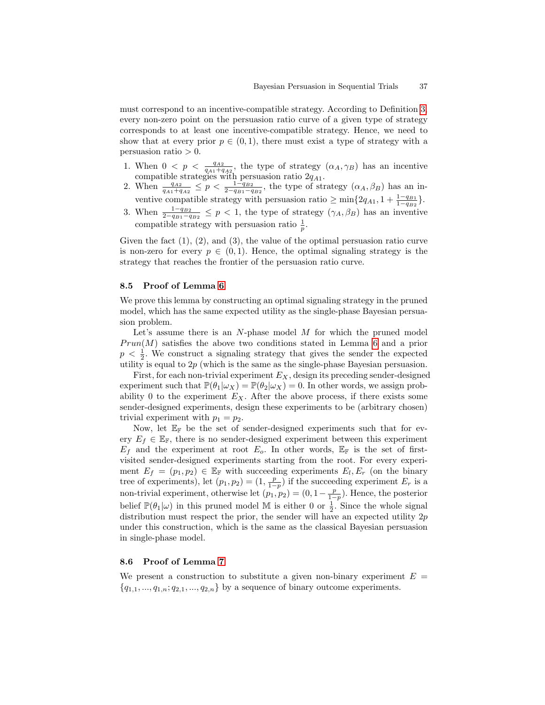must correspond to an incentive-compatible strategy. According to Definition [3,](#page-10-2) every non-zero point on the persuasion ratio curve of a given type of strategy corresponds to at least one incentive-compatible strategy. Hence, we need to show that at every prior  $p \in (0,1)$ , there must exist a type of strategy with a persuasion ratio  $> 0$ .

- 1. When  $0 \leq p \leq \frac{q_{A2}}{q_{A1}+q_{A2}}$ , the type of strategy  $(\alpha_A, \gamma_B)$  has an incentive compatible strategies with persuasion ratio  $2q_{A1}$ .
- 2. When  $\frac{q_{A2}}{q_{A1}+q_{A2}} \leq p < \frac{1-q_{B2}}{2-q_{B1}-q_{B2}}$ , the type of strategy  $(\alpha_A, \beta_B)$  has an inventive compatible strategy with persuasion ratio  $\geq \min\{2q_{A1}, 1 + \frac{1-q_{B1}}{1-q_{B2}}\}.$
- 3. When  $\frac{1-q_{B2}}{2-q_{B1}-q_{B2}} \leq p < 1$ , the type of strategy  $(\gamma_A, \beta_B)$  has an inventive compatible strategy with persuasion ratio  $\frac{1}{p}$ .

Given the fact  $(1), (2),$  and  $(3),$  the value of the optimal persuasion ratio curve is non-zero for every  $p \in (0,1)$ . Hence, the optimal signaling strategy is the strategy that reaches the frontier of the persuasion ratio curve.

#### 8.5 Proof of Lemma [6](#page-18-2)

We prove this lemma by constructing an optimal signaling strategy in the pruned model, which has the same expected utility as the single-phase Bayesian persuasion problem.

Let's assume there is an  $N$ -phase model  $M$  for which the pruned model  $Prun(M)$  satisfies the above two conditions stated in Lemma [6](#page-18-2) and a prior  $p < \frac{1}{2}$ . We construct a signaling strategy that gives the sender the expected utility is equal to  $2p$  (which is the same as the single-phase Bayesian persuasion.

First, for each non-trivial experiment  $E_X$ , design its preceding sender-designed experiment such that  $\mathbb{P}(\theta_1|\omega_X) = \mathbb{P}(\theta_2|\omega_X) = 0$ . In other words, we assign probability 0 to the experiment  $E<sub>X</sub>$ . After the above process, if there exists some sender-designed experiments, design these experiments to be (arbitrary chosen) trivial experiment with  $p_1 = p_2$ .

Now, let  $\mathbb{E}_{\mathbb{F}}$  be the set of sender-designed experiments such that for every  $E_f \in \mathbb{E}_{\mathbb{F}}$ , there is no sender-designed experiment between this experiment  $E_f$  and the experiment at root  $E_o$ . In other words,  $\mathbb{E}_{\mathbb{F}}$  is the set of firstvisited sender-designed experiments starting from the root. For every experiment  $E_f = (p_1, p_2) \in \mathbb{E}_{\mathbb{F}}$  with succeeding experiments  $E_l, E_r$  (on the binary tree of experiments), let  $(p_1, p_2) = (1, \frac{p}{1-p})$  if the succeeding experiment  $E_r$  is a non-trivial experiment, otherwise let  $(p_1, p_2) = (0, 1 - \frac{p}{1-p})$ . Hence, the posterior belief  $\mathbb{P}(\theta_1|\omega)$  in this pruned model M is either 0 or  $\frac{1}{2}$ . Since the whole signal distribution must respect the prior, the sender will have an expected utility  $2p$ under this construction, which is the same as the classical Bayesian persuasion in single-phase model.

### <span id="page-36-0"></span>8.6 Proof of Lemma [7](#page-22-1)

We present a construction to substitute a given non-binary experiment  $E =$  ${q_{1,1},..., q_{1,n}; q_{2,1},..., q_{2,n}}$  by a sequence of binary outcome experiments.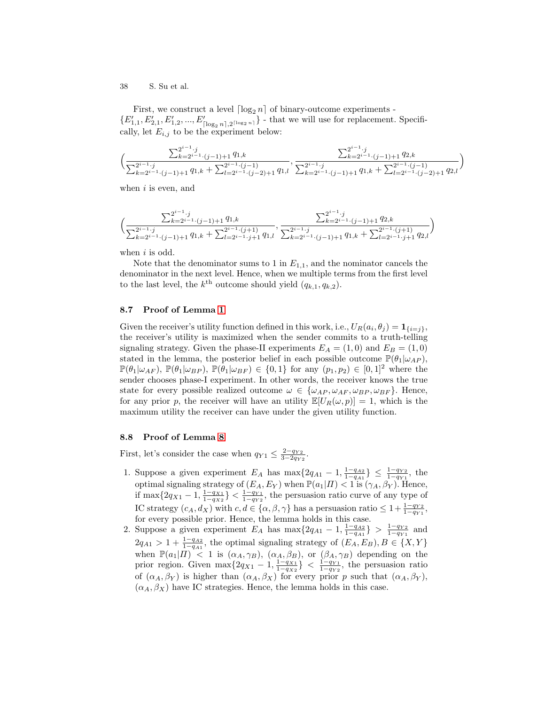First, we construct a level  $\lceil \log_2 n \rceil$  of binary-outcome experiments - $\{E_{1,1}', E_{2,1}', E_{1,2}', ..., E_{\lceil \log_2 n \rceil, 2^{\lceil \log_2 n \rceil}}'\}$  - that we will use for replacement. Specifically, let  $E_{i,j}$  to be the experiment below:

$$
\Big(\frac{\sum_{k=2^{i-1}\cdot (j-1)+1}^{2^{i-1}\cdot j}q_{1,k}}{\sum_{k=2^{i-1}\cdot (j-1)+1}^{2^{i-1}\cdot j}q_{1,k}+\sum_{l=2^{i-1}\cdot (j-2)+1}^{2^{i-1}\cdot (j-1)}q_{1,l}},\frac{\sum_{k=2^{i-1}\cdot (j-1)+1}^{2^{i-1}\cdot j}q_{2,k}}{\sum_{k=2^{i-1}\cdot (j-1)+1}^{2^{i-1}\cdot (j-1)}q_{1,k}+\sum_{l=2^{i-1}\cdot (j-2)+1}^{2^{i-1}\cdot (j-1)}q_{2,l}}\Big)
$$

when  $i$  is even, and

$$
\Big(\frac{\sum_{k=2^{i-1}\cdot (j-1)+1}^{2^{i-1}\cdot j}q_{1,k}}{\sum_{k=2^{i-1}\cdot (j-1)+1}^{2^{i-1}\cdot j}q_{1,k}+\sum_{l=2^{i-1}\cdot j+1}^{2^{i-1}\cdot (j+1)}q_{1,l}},\frac{\sum_{k=2^{i-1}\cdot (j-1)+1}^{2^{i-1}\cdot j}q_{2,k}}{\sum_{k=2^{i-1}\cdot (j-1)+1}^{2^{i-1}\cdot (j+1)}q_{1,k}+\sum_{l=2^{i-1}\cdot j+1}^{2^{i-1}\cdot (j+1)}q_{2,l}}\Big)
$$

when  $i$  is odd.

Note that the denominator sums to 1 in  $E_{1,1}$ , and the nominator cancels the denominator in the next level. Hence, when we multiple terms from the first level to the last level, the  $k^{\text{th}}$  outcome should yield  $(q_{k,1}, q_{k,2})$ .

#### 8.7 Proof of Lemma [1](#page-24-0)

Given the receiver's utility function defined in this work, i.e.,  $U_R(a_i, \theta_j) = \mathbf{1}_{\{i=j\}},$ the receiver's utility is maximized when the sender commits to a truth-telling signaling strategy. Given the phase-II experiments  $E_A = (1,0)$  and  $E_B = (1,0)$ stated in the lemma, the posterior belief in each possible outcome  $\mathbb{P}(\theta_1|\omega_{AP})$ ,  $\mathbb{P}(\theta_1|\omega_{AF})$ ,  $\mathbb{P}(\theta_1|\omega_{BP})$ ,  $\mathbb{P}(\theta_1|\omega_{BF}) \in \{0,1\}$  for any  $(p_1, p_2) \in [0,1]^2$  where the sender chooses phase-I experiment. In other words, the receiver knows the true state for every possible realized outcome  $\omega \in {\{\omega_{AP}, \omega_{AF}, \omega_{BP}, \omega_{BF}\}}$ . Hence, for any prior p, the receiver will have an utility  $\mathbb{E}[U_R(\omega, p)] = 1$ , which is the maximum utility the receiver can have under the given utility function.

### 8.8 Proof of Lemma [8](#page-25-0)

First, let's consider the case when  $q_{Y1} \leq \frac{2-q_{Y2}}{3-2q_{Y2}}$ .

- 1. Suppose a given experiment  $E_A$  has  $\max\{2q_{A1} 1, \frac{1-q_{A2}}{1-q_{A1}}\} \leq \frac{1-q_{Y2}}{1-q_{Y1}}$ , the optimal signaling strategy of  $(E_A, E_Y)$  when  $\mathbb{P}(a_1|H) < 1$  is  $(\gamma_A, \beta_Y)$ . Hence, if max $\{2q_{X1} - 1, \frac{1-q_{X1}}{1-q_{X2}}\} < \frac{1-q_{Y1}}{1-q_{Y2}}$ , the persuasion ratio curve of any type of IC strategy  $(c_A, d_X)$  with  $c, d \in \{\alpha, \beta, \gamma\}$  has a persuasion ratio  $\leq 1 + \frac{1-q_{Y2}}{1-q_{Y1}}$ , for every possible prior. Hence, the lemma holds in this case.
- 2. Suppose a given experiment  $E_A$  has  $\max\{2q_{A1} 1, \frac{1-q_{A2}}{1-q_{A1}}\} > \frac{1-q_{Y2}}{1-q_{Y1}}$  and  $2q_{A1} > 1 + \frac{1-q_{A2}}{1-q_{A1}}$ , the optimal signaling strategy of  $(E_A, E_B), B \in \{X, Y\}$ when  $\mathbb{P}(a_1|I\!I) \leq 1$  is  $(\alpha_A, \gamma_B)$ ,  $(\alpha_A, \beta_B)$ , or  $(\beta_A, \gamma_B)$  depending on the prior region. Given  $\max\{2q_{X1} - 1, \frac{1-q_{X1}}{1-q_{X2}}\} < \frac{1-q_{Y1}}{1-q_{Y2}}$ , the persuasion ratio of  $(\alpha_A, \beta_Y)$  is higher than  $(\alpha_A, \beta_X)$  for every prior p such that  $(\alpha_A, \beta_Y)$ ,  $(\alpha_A, \beta_X)$  have IC strategies. Hence, the lemma holds in this case.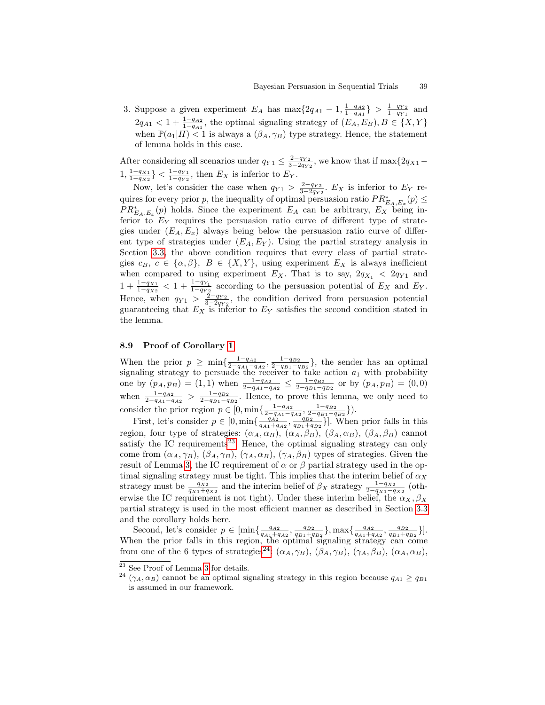3. Suppose a given experiment  $E_A$  has  $\max\{2q_{A1} - 1, \frac{1-q_{A2}}{1-q_{A1}}\} > \frac{1-q_{Y2}}{1-q_{Y1}}$  and  $2q_{A1} < 1 + \frac{1-q_{A2}}{1-q_{A1}}$ , the optimal signaling strategy of  $(E_A, E_B), B \in \{X, Y\}$ when  $\mathbb{P}(a_1|I) \leq 1$  is always a  $(\beta_A, \gamma_B)$  type strategy. Hence, the statement of lemma holds in this case.

After considering all scenarios under  $q_{Y1} \leq \frac{2-q_{Y2}}{3-2q_{Y2}}$ , we know that if max $\{2q_{X1} 1, \frac{1-q_{X1}}{1-q_{X2}}\} < \frac{1-q_{Y1}}{1-q_{Y2}}$ , then  $E_X$  is inferior to  $E_Y$ .

Now, let's consider the case when  $q_{Y1} > \frac{2-q_{Y2}}{3-2q_{Y2}}$ .  $E_X$  is inferior to  $E_Y$  requires for every prior p, the inequality of optimal persuasion ratio  $PR_{E_A,E_x}^*(p) \leq$  $PR_{E_A,E_x}^*(p)$  holds. Since the experiment  $E_A$  can be arbitrary,  $E_X$  being inferior to  $E<sub>Y</sub>$  requires the persuasion ratio curve of different type of strategies under  $(E_A, E_x)$  always being below the persuasion ratio curve of different type of strategies under  $(E_A, E_Y)$ . Using the partial strategy analysis in Section [3.3,](#page-8-1) the above condition requires that every class of partial strategies  $c_B, c \in \{\alpha, \beta\}, B \in \{X, Y\},$  using experiment  $E_X$  is always inefficient when compared to using experiment  $E_X$ . That is to say,  $2q_{X_1} < 2q_{Y_1}$  and  $1 + \frac{1-q_{X1}}{1-q_{X2}} < 1 + \frac{1-q_{Y1}}{1-q_{Y2}}$  according to the persuasion potential of  $E_X$  and  $E_Y$ . Hence, when  $q_{Y1} > \frac{2-q_{Y2}}{3-2q_{Y2}}$ , the condition derived from persuasion potential guaranteeing that  $E_X$  is inferior to  $E_Y$  satisfies the second condition stated in the lemma.

### 8.9 Proof of Corollary [1](#page-12-0)

When the prior  $p \ge \min\{\frac{1-q_{A2}}{2-q_{A1}-q_{A2}}, \frac{1-q_{B2}}{2-q_{B1}-q_{B2}}\}$ , the sender has an optimal signaling strategy to persuade the receiver to take action  $a_1$  with probability one by  $(p_A, p_B) = (1, 1)$  when  $\frac{1-q_{A2}}{2-q_{A1}-q_{A2}} \leq \frac{1-q_{B2}}{2-q_{B1}-q_{B2}}$  or by  $(p_A, p_B) = (0, 0)$ when  $\frac{1-q_{A2}}{2-q_{A1}-q_{A2}} > \frac{1-q_{B2}}{2-q_{B1}-q_{B2}}$ . Hence, to prove this lemma, we only need to consider the prior region  $p \in [0, \min\{\frac{1-q_{A2}}{2-q_{A1}-q_{A2}}, \frac{1-q_{B2}}{2-q_{B1}-q_{B2}}\}).$ 

First, let's consider  $p \in [0, \min\{\frac{qA^{21}}{q_{A1}+q_{A2}}, \frac{q_{B2}}{q_{B1}+q_{B2}}\}]$ . When prior falls in this region, four type of strategies:  $(\alpha_A, \alpha_B)$ ,  $(\alpha_A, \beta_B)$ ,  $(\beta_A, \alpha_B)$ ,  $(\beta_A, \beta_B)$  cannot satisfy the IC requirements<sup>[23](#page-38-0)</sup>. Hence, the optimal signaling strategy can only come from  $(\alpha_A, \gamma_B)$ ,  $(\beta_A, \gamma_B)$ ,  $(\gamma_A, \alpha_B)$ ,  $(\gamma_A, \beta_B)$  types of strategies. Given the result of Lemma [3,](#page-10-0) the IC requirement of  $\alpha$  or  $\beta$  partial strategy used in the optimal signaling strategy must be tight. This implies that the interim belief of  $\alpha_X$ strategy must be  $\frac{qx_2}{qx_1+qx_2}$  and the interim belief of  $\beta_X$  strategy  $\frac{1-qx_2}{2-qx_1-qx_2}$  (otherwise the IC requirement is not tight). Under these interim belief, the  $\alpha_X, \beta_X$ partial strategy is used in the most efficient manner as described in Section [3.3](#page-8-1) and the corollary holds here.

Second, let's consider  $p \in [\min\{\frac{q_{A2}}{q_{A1}+q_{A2}}, \frac{q_{B2}}{q_{B1}+q_{B2}}\}, \max\{\frac{q_{A2}}{q_{A1}+q_{A2}}, \frac{q_{B2}}{q_{B1}+q_{B2}}\}].$ When the prior falls in this region, the optimal signaling strategy can come from one of the 6 types of strategies<sup>[24](#page-38-1)</sup>:  $(\alpha_A, \gamma_B)$ ,  $(\beta_A, \gamma_B)$ ,  $(\gamma_A, \beta_B)$ ,  $(\alpha_A, \alpha_B)$ ,

<span id="page-38-0"></span><sup>23</sup> See Proof of Lemma [3](#page-10-0) for details.

<span id="page-38-1"></span><sup>&</sup>lt;sup>24</sup> ( $\gamma_A, \alpha_B$ ) cannot be an optimal signaling strategy in this region because  $q_{A1} \ge q_{B1}$ is assumed in our framework.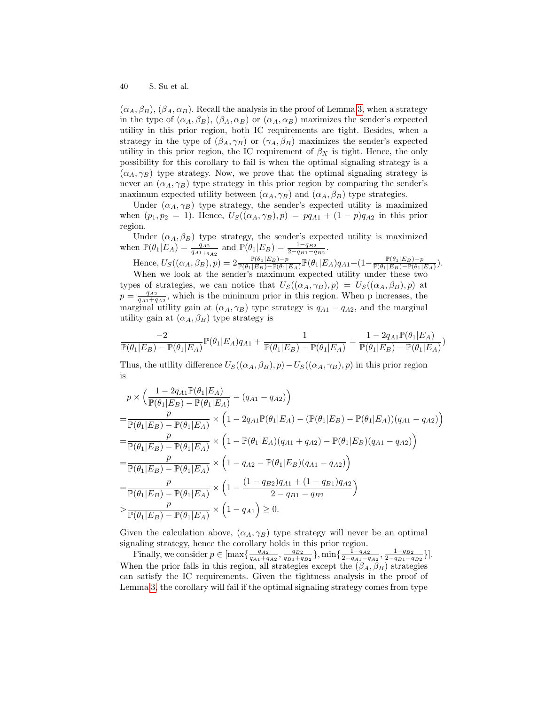$(\alpha_A, \beta_B), (\beta_A, \alpha_B)$ . Recall the analysis in the proof of Lemma [3,](#page-10-0) when a strategy in the type of  $(\alpha_A, \beta_B)$ ,  $(\beta_A, \alpha_B)$  or  $(\alpha_A, \alpha_B)$  maximizes the sender's expected utility in this prior region, both IC requirements are tight. Besides, when a strategy in the type of  $(\beta_A, \gamma_B)$  or  $(\gamma_A, \beta_B)$  maximizes the sender's expected utility in this prior region, the IC requirement of  $\beta_X$  is tight. Hence, the only possibility for this corollary to fail is when the optimal signaling strategy is a  $(\alpha_A, \gamma_B)$  type strategy. Now, we prove that the optimal signaling strategy is never an  $(\alpha_A, \gamma_B)$  type strategy in this prior region by comparing the sender's maximum expected utility between  $(\alpha_A, \gamma_B)$  and  $(\alpha_A, \beta_B)$  type strategies.

Under  $(\alpha_A, \gamma_B)$  type strategy, the sender's expected utility is maximized when  $(p_1, p_2 = 1)$ . Hence,  $U_S((\alpha_A, \gamma_B), p) = pq_{A1} + (1 - p)q_{A2}$  in this prior region.

Under  $(\alpha_A, \beta_B)$  type strategy, the sender's expected utility is maximized when  $\mathbb{P}(\theta_1|E_A) = \frac{q_{A2}}{q_{A1+q_{A2}}}$  and  $\mathbb{P}(\theta_1|E_B) = \frac{1-q_{B2}}{2-q_{B1}-q_{B2}}$ .

Hence,  $U_S((\alpha_A,\beta_B),p)=2\frac{\mathbb{P}(\theta_1|E_B)-p}{\mathbb{P}(\theta_1|E_B)-\mathbb{P}(\theta_1|E_A)}\mathbb{P}(\theta_1|E_A)q_{A1}+(1-\frac{\mathbb{P}(\theta_1|E_B)-p}{\mathbb{P}(\theta_1|E_B)-\mathbb{P}(\theta_1|E_B)}$  $\frac{\mathbb{P}(\theta_1|E_B)-p}{\mathbb{P}(\theta_1|E_B)-\mathbb{P}(\theta_1|E_A)}$ ). When we look at the sender's maximum expected utility under these two

types of strategies, we can notice that  $U_S((\alpha_A, \gamma_B), p) = U_S((\alpha_A, \beta_B), p)$  at  $p = \frac{q_{A2}}{q_{A1}+q_{A2}}$ , which is the minimum prior in this region. When p increases, the marginal utility gain at  $(\alpha_A, \gamma_B)$  type strategy is  $q_{A1} - q_{A2}$ , and the marginal utility gain at  $(\alpha_A, \beta_B)$  type strategy is

$$
\frac{-2}{\mathbb{P}(\theta_1|E_B)-\mathbb{P}(\theta_1|E_A)}\mathbb{P}(\theta_1|E_A)q_{A1}+\frac{1}{\mathbb{P}(\theta_1|E_B)-\mathbb{P}(\theta_1|E_A)}=\frac{1-2q_{A1}\mathbb{P}(\theta_1|E_A)}{\mathbb{P}(\theta_1|E_B)-\mathbb{P}(\theta_1|E_A)})
$$

Thus, the utility difference  $U_S((\alpha_A, \beta_B), p) - U_S((\alpha_A, \gamma_B), p)$  in this prior region is

$$
p \times \left(\frac{1 - 2q_{A1} \mathbb{P}(\theta_1 | E_A)}{\mathbb{P}(\theta_1 | E_B) - \mathbb{P}(\theta_1 | E_A)} - (q_{A1} - q_{A2})\right)
$$
  
= 
$$
\frac{p}{\mathbb{P}(\theta_1 | E_B) - \mathbb{P}(\theta_1 | E_A)} \times \left(1 - 2q_{A1} \mathbb{P}(\theta_1 | E_A) - (\mathbb{P}(\theta_1 | E_B) - \mathbb{P}(\theta_1 | E_A)) (q_{A1} - q_{A2})\right)
$$
  
= 
$$
\frac{p}{\mathbb{P}(\theta_1 | E_B) - \mathbb{P}(\theta_1 | E_A)} \times \left(1 - \mathbb{P}(\theta_1 | E_A) (q_{A1} + q_{A2}) - \mathbb{P}(\theta_1 | E_B) (q_{A1} - q_{A2})\right)
$$
  
= 
$$
\frac{p}{\mathbb{P}(\theta_1 | E_B) - \mathbb{P}(\theta_1 | E_A)} \times \left(1 - q_{A2} - \mathbb{P}(\theta_1 | E_B) (q_{A1} - q_{A2})\right)
$$
  
= 
$$
\frac{p}{\mathbb{P}(\theta_1 | E_B) - \mathbb{P}(\theta_1 | E_A)} \times \left(1 - \frac{(1 - q_{B2})q_{A1} + (1 - q_{B1})q_{A2}}{2 - q_{B1} - q_{B2}}\right)
$$
  
> 
$$
\frac{p}{\mathbb{P}(\theta_1 | E_B) - \mathbb{P}(\theta_1 | E_A)} \times \left(1 - q_{A1}\right) \ge 0.
$$

Given the calculation above,  $(\alpha_A, \gamma_B)$  type strategy will never be an optimal signaling strategy, hence the corollary holds in this prior region.

Finally, we consider  $p \in \left[\max\left\{\frac{q_{A2}}{q_{A1}+q_{A2}}, \frac{q_{B2}}{q_{B1}+q_{B2}}\right\}, \min\left\{\frac{1-q_{A2}}{2-q_{A1}-q_{A2}}, \frac{1-q_{B2}}{2-q_{B1}-q_{B2}}\right\}\right]$ . When the prior falls in this region, all strategies except the  $(\beta_A, \beta_B)$  strategies can satisfy the IC requirements. Given the tightness analysis in the proof of Lemma [3,](#page-10-0) the corollary will fail if the optimal signaling strategy comes from type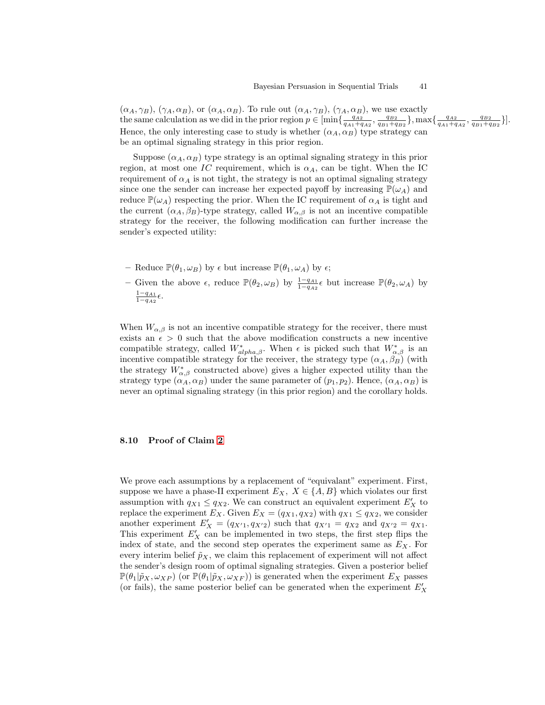$(\alpha_A, \gamma_B)$ ,  $(\gamma_A, \alpha_B)$ , or  $(\alpha_A, \alpha_B)$ . To rule out  $(\alpha_A, \gamma_B)$ ,  $(\gamma_A, \alpha_B)$ , we use exactly the same calculation as we did in the prior region  $p \in \left[\min\left\{\frac{q_{A2}}{q_{A1}+q_{A2}}, \frac{q_{B2}}{q_{B1}+q_{B2}}\right\}, \max\left\{\frac{q_{A2}}{q_{A1}+q_{A2}}, \frac{q_{B2}}{q_{B1}+q_{B2}}\right\}\right].$ Hence, the only interesting case to study is whether  $(\alpha_A, \alpha_B)$  type strategy can be an optimal signaling strategy in this prior region.

Suppose  $(\alpha_A, \alpha_B)$  type strategy is an optimal signaling strategy in this prior region, at most one IC requirement, which is  $\alpha_A$ , can be tight. When the IC requirement of  $\alpha_A$  is not tight, the strategy is not an optimal signaling strategy since one the sender can increase her expected payoff by increasing  $\mathbb{P}(\omega_A)$  and reduce  $\mathbb{P}(\omega_A)$  respecting the prior. When the IC requirement of  $\alpha_A$  is tight and the current  $(\alpha_A, \beta_B)$ -type strategy, called  $W_{\alpha, \beta}$  is not an incentive compatible strategy for the receiver, the following modification can further increase the sender's expected utility:

- Reduce  $\mathbb{P}(\theta_1, \omega_B)$  by  $\epsilon$  but increase  $\mathbb{P}(\theta_1, \omega_A)$  by  $\epsilon$ ;
- Given the above  $\epsilon$ , reduce  $\mathbb{P}(\theta_2,\omega_B)$  by  $\frac{1-q_{A1}}{1-q_{A2}}\epsilon$  but increase  $\mathbb{P}(\theta_2,\omega_A)$  by  $rac{1-q_{A1}}{1-q_{A2}}\epsilon.$

When  $W_{\alpha,\beta}$  is not an incentive compatible strategy for the receiver, there must exists an  $\epsilon > 0$  such that the above modification constructs a new incentive compatible strategy, called  $W^*_{alpha,\beta}$ . When  $\epsilon$  is picked such that  $W^*_{\alpha,\beta}$  is an incentive compatible strategy for the receiver, the strategy type  $(\alpha_A, \beta_B)$  (with the strategy  $W^*_{\alpha,\beta}$  constructed above) gives a higher expected utility than the strategy type  $(\alpha_A, \alpha_B)$  under the same parameter of  $(p_1, p_2)$ . Hence,  $(\alpha_A, \alpha_B)$  is never an optimal signaling strategy (in this prior region) and the corollary holds.

# 8.10 Proof of Claim [2](#page-7-1)

We prove each assumptions by a replacement of "equivalant" experiment. First, suppose we have a phase-II experiment  $E_X$ ,  $X \in \{A, B\}$  which violates our first assumption with  $q_{X1} \leq q_{X2}$ . We can construct an equivalent experiment  $E'_X$  to replace the experiment  $E_X$ . Given  $E_X = (q_{X1}, q_{X2})$  with  $q_{X1} \leq q_{X2}$ , we consider another experiment  $E'_X = (q_{X'1}, q_{X'2})$  such that  $q_{X'1} = q_{X2}$  and  $q_{X'2} = q_{X1}$ . This experiment  $E'_X$  can be implemented in two steps, the first step flips the index of state, and the second step operates the experiment same as  $E_X$ . For every interim belief  $\tilde{p}_X$ , we claim this replacement of experiment will not affect the sender's design room of optimal signaling strategies. Given a posterior belief  $\mathbb{P}(\theta_1|\tilde{p}_X,\omega_{XP})$  (or  $\mathbb{P}(\theta_1|\tilde{p}_X,\omega_{XF})$ ) is generated when the experiment  $E_X$  passes (or fails), the same posterior belief can be generated when the experiment  $E_X^{\prime}$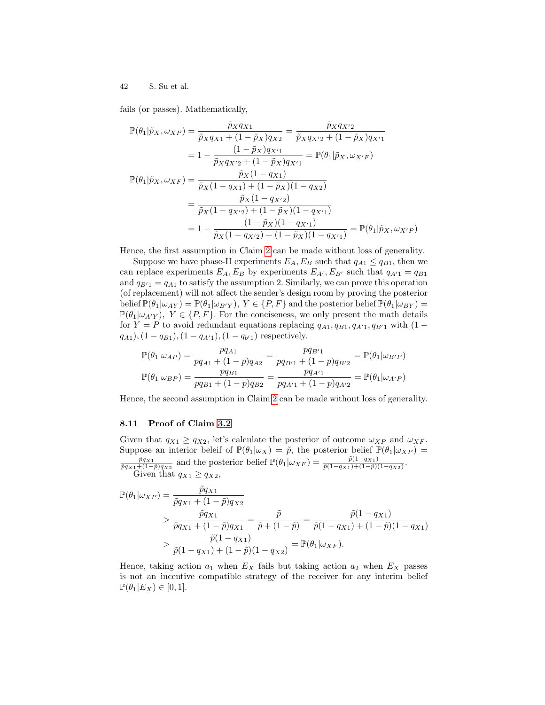fails (or passes). Mathematically,

$$
\mathbb{P}(\theta_1 | \tilde{p}_X, \omega_{XP}) = \frac{\tilde{p}_X q_{X1}}{\tilde{p}_X q_{X1} + (1 - \tilde{p}_X) q_{X2}} = \frac{\tilde{p}_X q_{X'2}}{\tilde{p}_X q_{X'2} + (1 - \tilde{p}_X) q_{X'1}}
$$

$$
= 1 - \frac{(1 - \tilde{p}_X) q_{X'1}}{\tilde{p}_X q_{X'2} + (1 - \tilde{p}_X) q_{X'1}} = \mathbb{P}(\theta_1 | \tilde{p}_X, \omega_{X'F})
$$

$$
\mathbb{P}(\theta_1 | \tilde{p}_X, \omega_{XF}) = \frac{\tilde{p}_X (1 - q_{X1})}{\tilde{p}_X (1 - q_{X1}) + (1 - \tilde{p}_X) (1 - q_{X2})}
$$

$$
= \frac{\tilde{p}_X (1 - q_{X'2})}{\tilde{p}_X (1 - q_{X'2}) + (1 - \tilde{p}_X) (1 - q_{X'1})}
$$

$$
= 1 - \frac{(1 - \tilde{p}_X) (1 - q_{X'1})}{\tilde{p}_X (1 - q_{X'2}) + (1 - \tilde{p}_X) (1 - q_{X'1})} = \mathbb{P}(\theta_1 | \tilde{p}_X, \omega_{X'P})
$$

Hence, the first assumption in Claim [2](#page-7-1) can be made without loss of generality.

Suppose we have phase-II experiments  $E_A$ ,  $E_B$  such that  $q_{A1} \leq q_{B1}$ , then we can replace experiments  $E_A$ ,  $E_B$  by experiments  $E_{A'}$ ,  $E_{B'}$  such that  $q_{A'1} = q_{B1}$ and  $q_{B1} = q_{A1}$  to satisfy the assumption 2. Similarly, we can prove this operation (of replacement) will not affect the sender's design room by proving the posterior belief  $\mathbb{P}(\theta_1|\omega_{AY}) = \mathbb{P}(\theta_1|\omega_{B'Y}), Y \in \{P, F\}$  and the posterior belief  $\mathbb{P}(\theta_1|\omega_{BY}) =$  $\mathbb{P}(\theta_1|\omega_{A|Y}), Y \in \{P, F\}.$  For the conciseness, we only present the math details for  $Y = P$  to avoid redundant equations replacing  $q_{A1}, q_{B1}, q_{A'1}, q_{B'1}$  with  $(1 (q_{A1}),$   $(1 - q_{B1}),$   $(1 - q_{A'1}),$   $(1 - q_{b'1})$  respectively.

$$
\mathbb{P}(\theta_1|\omega_{AP}) = \frac{pq_{A1}}{pq_{A1} + (1-p)q_{A2}} = \frac{pq_{B'1}}{pq_{B'1} + (1-p)q_{B'2}} = \mathbb{P}(\theta_1|\omega_{B'P})
$$
  

$$
\mathbb{P}(\theta_1|\omega_{BP}) = \frac{pq_{B1}}{pq_{B1} + (1-p)q_{B2}} = \frac{pq_{A'1}}{pq_{A'1} + (1-p)q_{A'2}} = \mathbb{P}(\theta_1|\omega_{A'P})
$$

Hence, the second assumption in Claim [2](#page-7-1) can be made without loss of generality.

### 8.11 Proof of Claim [3.2](#page-7-3)

Given that  $q_{X1} \ge q_{X2}$ , let's calculate the posterior of outcome  $\omega_{XP}$  and  $\omega_{XF}$ . Suppose an interior beleif of  $\mathbb{P}(\theta_1|\omega_X) = \tilde{p}$ , the posterior belief  $\mathbb{P}(\theta_1|\omega_{XP}) =$  $\frac{\tilde{p}q_{X1}}{\tilde{p}q_{X1}+(1-\tilde{p})q_{X2}}$  and the posterior belief  $\mathbb{P}(\theta_1|\omega_{XF}) = \frac{\tilde{p}(1-q_{X1})}{\tilde{p}(1-q_{X1})+(1-\tilde{p})(1-q_{X2})}$ . Given that  $q_{X1} \geq q_{X2}$ ,

$$
\mathbb{P}(\theta_1|\omega_{XP}) = \frac{\tilde{p}q_{X1}}{\tilde{p}q_{X1} + (1 - \tilde{p})q_{X2}} \n> \frac{\tilde{p}q_{X1}}{\tilde{p}q_{X1} + (1 - \tilde{p})q_{X1}} = \frac{\tilde{p}}{\tilde{p} + (1 - \tilde{p})} = \frac{\tilde{p}(1 - q_{X1})}{\tilde{p}(1 - q_{X1}) + (1 - \tilde{p})(1 - q_{X1})} \n> \frac{\tilde{p}(1 - q_{X1})}{\tilde{p}(1 - q_{X1}) + (1 - \tilde{p})(1 - q_{X2})} = \mathbb{P}(\theta_1|\omega_{XF}).
$$

Hence, taking action  $a_1$  when  $E<sub>X</sub>$  fails but taking action  $a_2$  when  $E<sub>X</sub>$  passes is not an incentive compatible strategy of the receiver for any interim belief  $\mathbb{P}(\theta_1|E_X) \in [0,1].$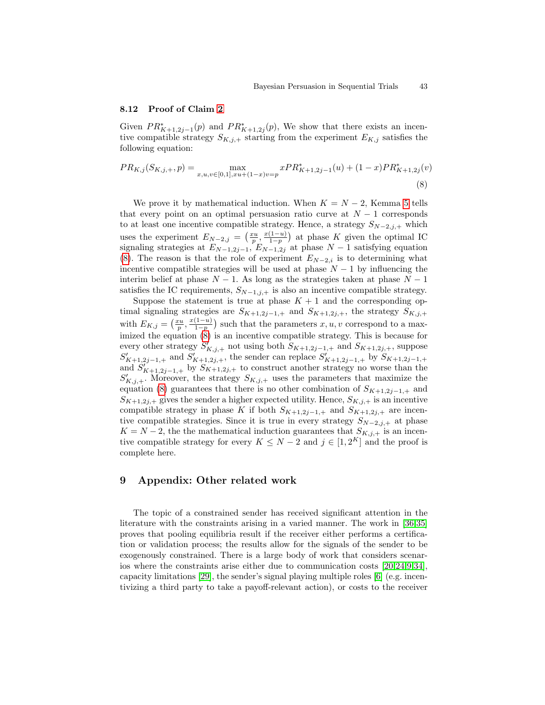### 8.12 Proof of Claim [2](#page-16-0)

Given  $PR_{K+1,2j-1}^*(p)$  and  $PR_{K+1,2j}^*(p)$ , We show that there exists an incentive compatible strategy  $S_{K,j,+}$  starting from the experiment  $E_{K,j}$  satisfies the following equation:

<span id="page-42-0"></span>
$$
PR_{K,j}(S_{K,j,+},p) = \max_{x,u,v \in [0,1], xu + (1-x)v = p} xPR_{K+1,2j-1}^*(u) + (1-x)PR_{K+1,2j}^*(v)
$$
\n(8)

We prove it by mathematical induction. When  $K = N - 2$ , Kemma [5](#page-11-1) tells that every point on an optimal persuasion ratio curve at  $N-1$  corresponds to at least one incentive compatible strategy. Hence, a strategy  $S_{N-2,j,+}$  which uses the experiment  $E_{N-2,j} = \left(\frac{xu}{p}, \frac{x(1-u)}{1-p}\right)$  $\frac{(1-u)}{1-p}$  at phase K given the optimal IC signaling strategies at  $E_{N-1,2j-1}$ ,  $E_{N-1,2j}$  at phase  $N-1$  satisfying equation [\(8\)](#page-42-0). The reason is that the role of experiment  $E_{N-2,i}$  is to determining what incentive compatible strategies will be used at phase  $N-1$  by influencing the interim belief at phase  $N - 1$ . As long as the strategies taken at phase  $N - 1$ satisfies the IC requirements,  $S_{N-1,j,+}$  is also an incentive compatible strategy.

Suppose the statement is true at phase  $K + 1$  and the corresponding optimal signaling strategies are  $S_{K+1,2j-1,+}$  and  $S_{K+1,2j,+}$ , the strategy  $S_{K,j,+}$ with  $E_{K,j} = \left(\frac{xu}{p}, \frac{x(1-u)}{1-p}\right)$  $\frac{(1-u)}{1-p}$  such that the parameters  $x, u, v$  correspond to a maximized the equation [\(8\)](#page-42-0) is an incentive compatible strategy. This is because for every other strategy  $S'_{K,j,+}$  not using both  $S_{K+1,2j-1,+}$  and  $S_{K+1,2j,+}$ , suppose  $S'_{K+1,2j-1,+}$  and  $S'_{K+1,2j,+}$ , the sender can replace  $S'_{K+1,2j-1,+}$  by  $S_{K+1,2j-1,+}$ and  $S'_{K+1,2j-1,+}$  by  $S_{K+1,2j,+}$  to construct another strategy no worse than the  $S'_{K,j,+}$ . Moreover, the strategy  $S_{K,j,+}$  uses the parameters that maximize the equation [\(8\)](#page-42-0) guarantees that there is no other combination of  $S_{K+1,2j-1,+}$  and  $S_{K+1,2j,+}$  gives the sender a higher expected utility. Hence,  $S_{K,j,+}$  is an incentive compatible strategy in phase K if both  $S_{K+1,2j-1,+}$  and  $S_{K+1,2j,+}$  are incentive compatible strategies. Since it is true in every strategy  $S_{N-2,j,+}$  at phase  $K = N - 2$ , the the mathematical induction guarantees that  $S_{K,i,+}$  is an incentive compatible strategy for every  $K \leq N-2$  and  $j \in [1, 2^K]$  and the proof is complete here.

# 9 Appendix: Other related work

The topic of a constrained sender has received significant attention in the literature with the constraints arising in a varied manner. The work in [\[36,](#page-28-3)[35\]](#page-28-4) proves that pooling equilibria result if the receiver either performs a certification or validation process; the results allow for the signals of the sender to be exogenously constrained. There is a large body of work that considers scenarios where the constraints arise either due to communication costs [\[20,](#page-27-17)[24,](#page-27-18)[9,](#page-27-19)[34\]](#page-28-0), capacity limitations [\[29\]](#page-27-10), the sender's signal playing multiple roles [\[6\]](#page-26-5) (e.g. incentivizing a third party to take a payoff-relevant action), or costs to the receiver